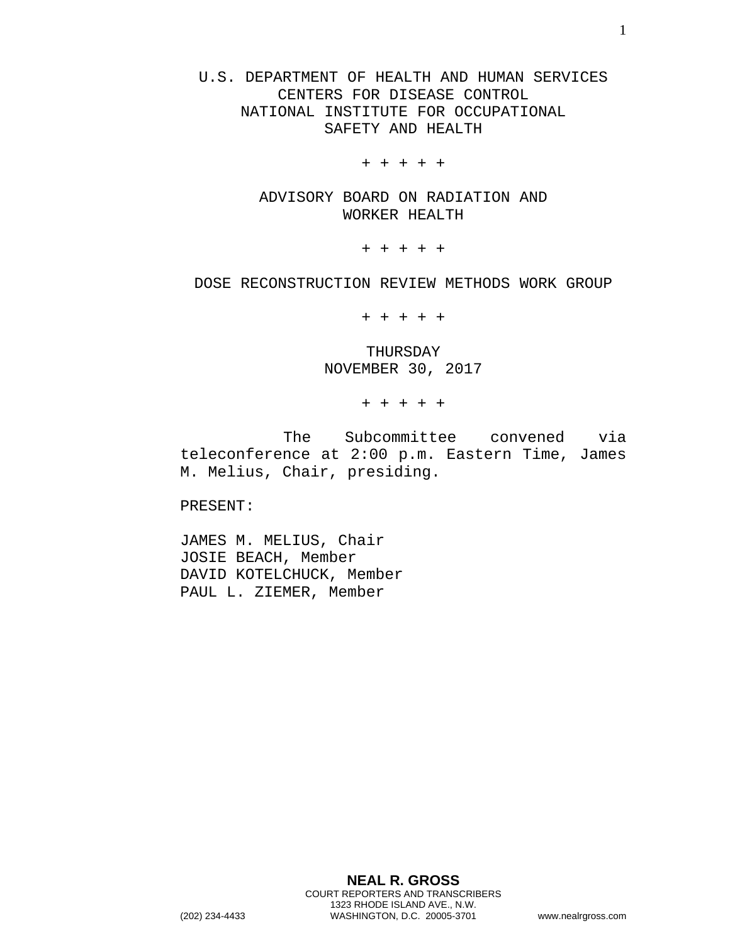U.S. DEPARTMENT OF HEALTH AND HUMAN SERVICES CENTERS FOR DISEASE CONTROL NATIONAL INSTITUTE FOR OCCUPATIONAL SAFETY AND HEALTH

+ + + + +

ADVISORY BOARD ON RADIATION AND WORKER HEALTH

+ + + + +

DOSE RECONSTRUCTION REVIEW METHODS WORK GROUP

+ + + + +

## THURSDAY NOVEMBER 30, 2017

+ + + + +

The Subcommittee convened via teleconference at 2:00 p.m. Eastern Time, James M. Melius, Chair, presiding.

PRESENT:

JAMES M. MELIUS, Chair JOSIE BEACH, Member DAVID KOTELCHUCK, Member PAUL L. ZIEMER, Member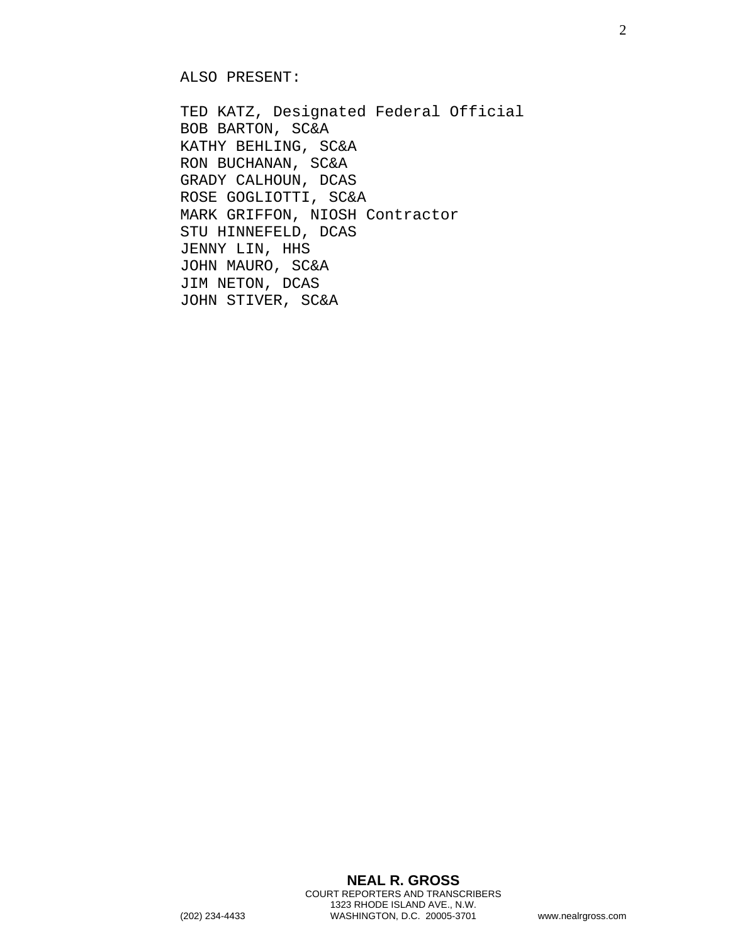ALSO PRESENT:

TED KATZ, Designated Federal Official BOB BARTON, SC&A KATHY BEHLING, SC&A RON BUCHANAN, SC&A GRADY CALHOUN, DCAS ROSE GOGLIOTTI, SC&A MARK GRIFFON, NIOSH Contractor STU HINNEFELD, DCAS JENNY LIN, HHS JOHN MAURO, SC&A JIM NETON, DCAS JOHN STIVER, SC&A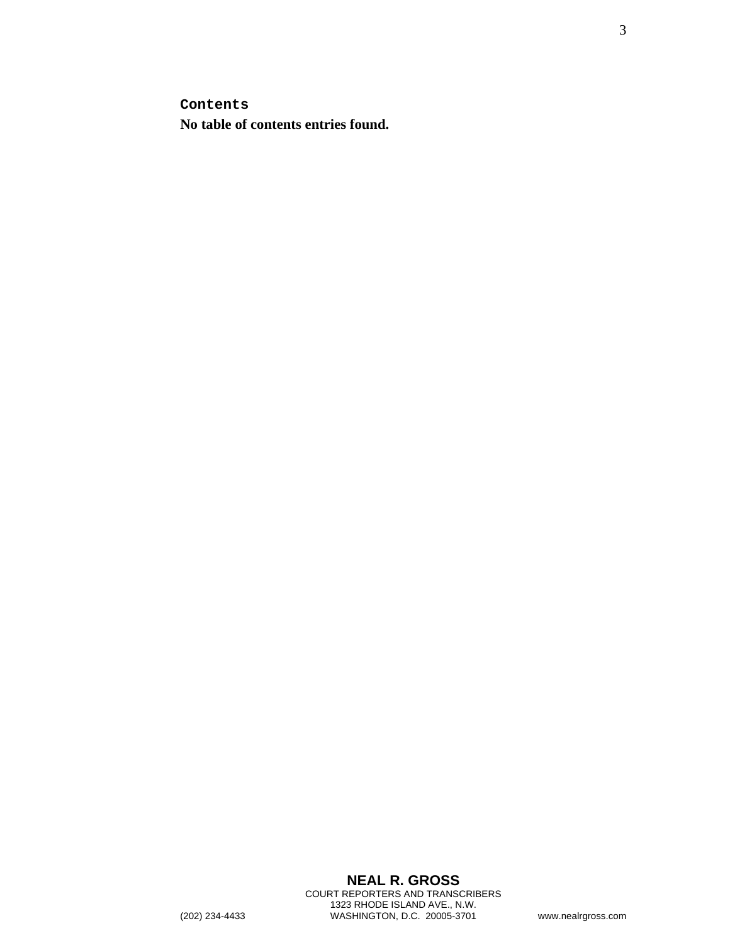**Contents**

**No table of contents entries found.**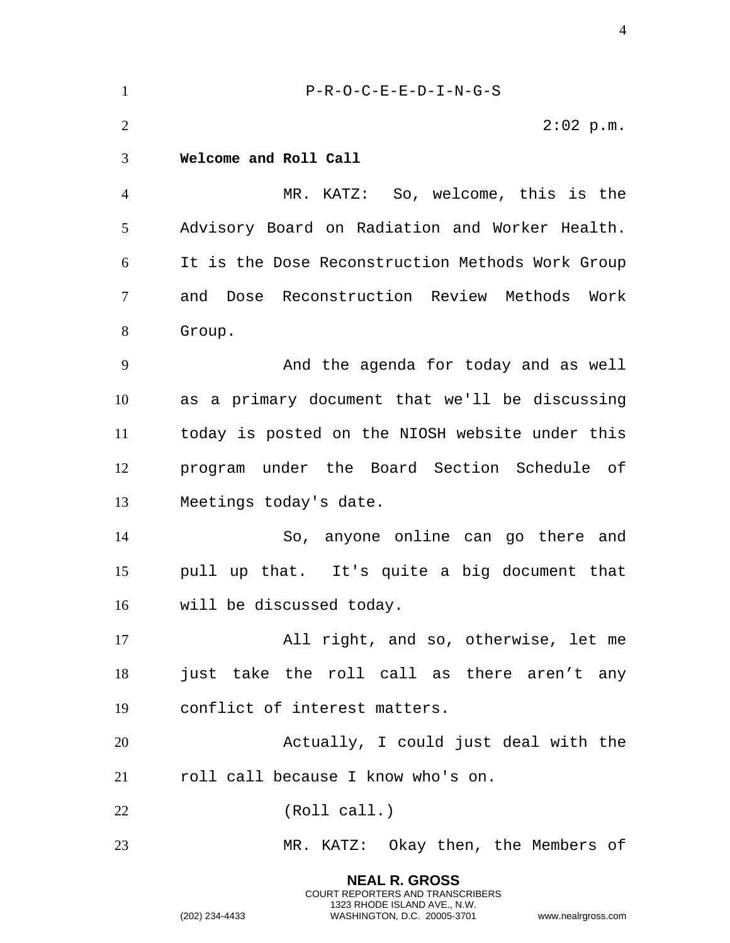| $\mathbf{1}$   | $P-R-O-C-E-E-D-I-N-G-S$                          |
|----------------|--------------------------------------------------|
| $\overline{2}$ | $2:02$ p.m.                                      |
| 3              | Welcome and Roll Call                            |
| $\overline{4}$ | MR. KATZ: So, welcome, this is the               |
| 5              | Advisory Board on Radiation and Worker Health.   |
| 6              | It is the Dose Reconstruction Methods Work Group |
| 7              | and Dose Reconstruction Review Methods Work      |
| 8              | Group.                                           |
| 9              | And the agenda for today and as well             |
| 10             | as a primary document that we'll be discussing   |
| 11             | today is posted on the NIOSH website under this  |
| 12             | program under the Board Section Schedule of      |
| 13             | Meetings today's date.                           |
| 14             | So, anyone online can go there and               |
| 15             | pull up that. It's quite a big document that     |
| 16             | will be discussed today.                         |
| 17             | All right, and so, otherwise, let me             |
| 18             | just take the roll call as there aren't any      |
| 19             | conflict of interest matters.                    |
| 20             | Actually, I could just deal with the             |
| 21             | roll call because I know who's on.               |
| 22             | (Roll call.)                                     |
| 23             | MR. KATZ: Okay then, the Members of              |
|                |                                                  |

**NEAL R. GROSS** COURT REPORTERS AND TRANSCRIBERS 1323 RHODE ISLAND AVE., N.W.

(202) 234-4433 WASHINGTON, D.C. 20005-3701 www.nealrgross.com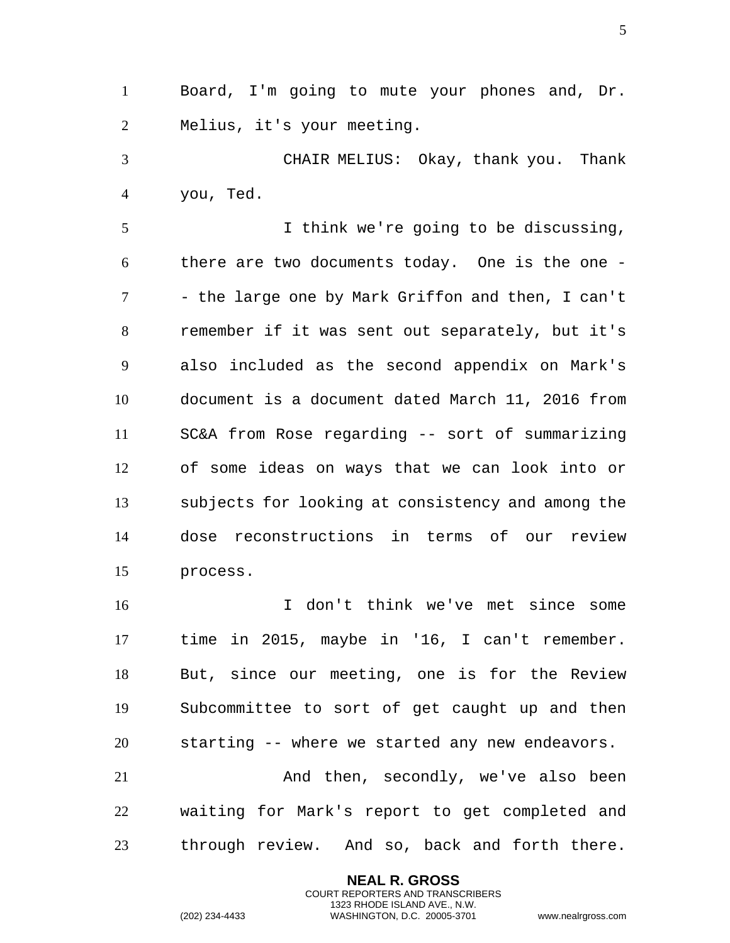Board, I'm going to mute your phones and, Dr. Melius, it's your meeting.

 CHAIR MELIUS: Okay, thank you. Thank you, Ted.

 I think we're going to be discussing, there are two documents today. One is the one - - the large one by Mark Griffon and then, I can't remember if it was sent out separately, but it's also included as the second appendix on Mark's document is a document dated March 11, 2016 from SC&A from Rose regarding -- sort of summarizing of some ideas on ways that we can look into or subjects for looking at consistency and among the dose reconstructions in terms of our review process.

 I don't think we've met since some time in 2015, maybe in '16, I can't remember. But, since our meeting, one is for the Review Subcommittee to sort of get caught up and then starting -- where we started any new endeavors.

 And then, secondly, we've also been waiting for Mark's report to get completed and through review. And so, back and forth there.

> **NEAL R. GROSS** COURT REPORTERS AND TRANSCRIBERS 1323 RHODE ISLAND AVE., N.W.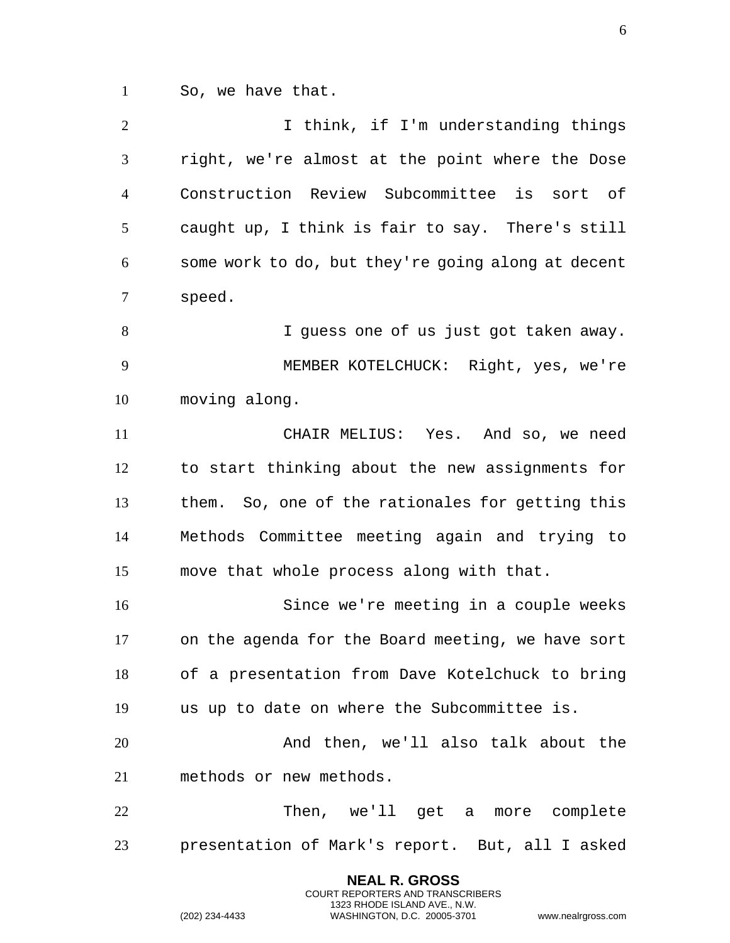So, we have that.

| $\overline{2}$ | I think, if I'm understanding things               |
|----------------|----------------------------------------------------|
| 3              | right, we're almost at the point where the Dose    |
| $\overline{4}$ | Construction Review Subcommittee is sort of        |
| 5              | caught up, I think is fair to say. There's still   |
| 6              | some work to do, but they're going along at decent |
| $\overline{7}$ | speed.                                             |
| 8              | I guess one of us just got taken away.             |
| 9              | MEMBER KOTELCHUCK: Right, yes, we're               |
| 10             | moving along.                                      |
| 11             | CHAIR MELIUS: Yes. And so, we need                 |
| 12             | to start thinking about the new assignments for    |
| 13             | them. So, one of the rationales for getting this   |
| 14             | Methods Committee meeting again and trying to      |
| 15             | move that whole process along with that.           |
| 16             | Since we're meeting in a couple weeks              |
| 17             | on the agenda for the Board meeting, we have sort  |
| 18             | of a presentation from Dave Kotelchuck to bring    |
| 19             | us up to date on where the Subcommittee is.        |
| 20             | And then, we'll also talk about the                |
| 21             | methods or new methods.                            |
| 22             | Then, we'll get a more complete                    |
| 23             | presentation of Mark's report. But, all I asked    |

**NEAL R. GROSS** COURT REPORTERS AND TRANSCRIBERS 1323 RHODE ISLAND AVE., N.W.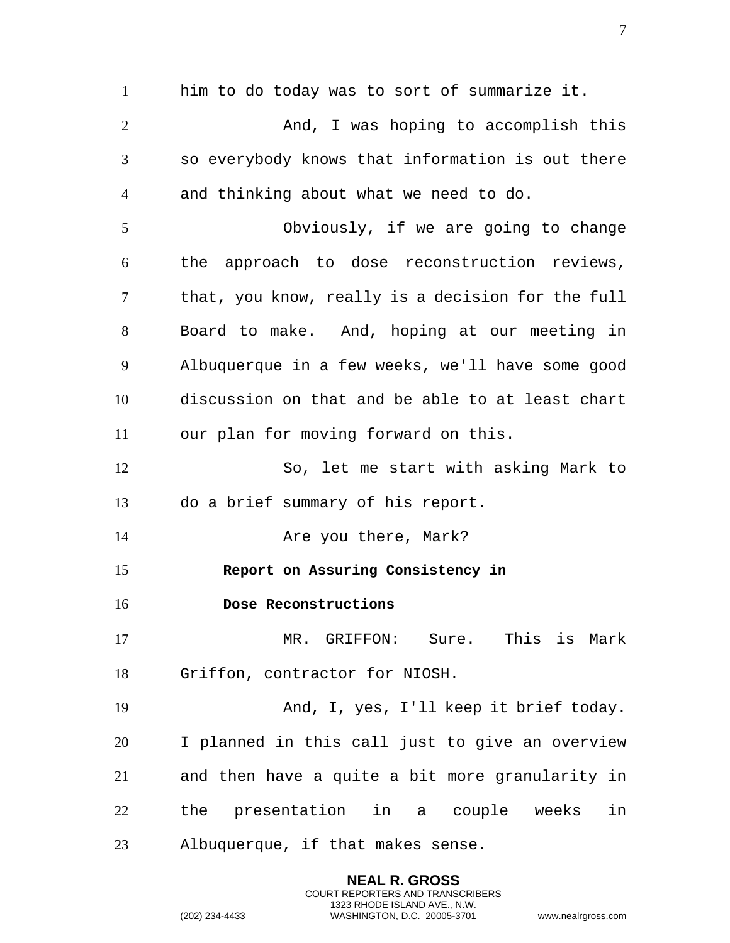him to do today was to sort of summarize it. 2 And, I was hoping to accomplish this so everybody knows that information is out there and thinking about what we need to do. Obviously, if we are going to change the approach to dose reconstruction reviews, that, you know, really is a decision for the full Board to make. And, hoping at our meeting in Albuquerque in a few weeks, we'll have some good discussion on that and be able to at least chart our plan for moving forward on this. So, let me start with asking Mark to do a brief summary of his report. **Are you there, Mark? Report on Assuring Consistency in Dose Reconstructions**  MR. GRIFFON: Sure. This is Mark Griffon, contractor for NIOSH. And, I, yes, I'll keep it brief today. I planned in this call just to give an overview and then have a quite a bit more granularity in the presentation in a couple weeks in Albuquerque, if that makes sense.

> **NEAL R. GROSS** COURT REPORTERS AND TRANSCRIBERS 1323 RHODE ISLAND AVE., N.W.

(202) 234-4433 WASHINGTON, D.C. 20005-3701 www.nealrgross.com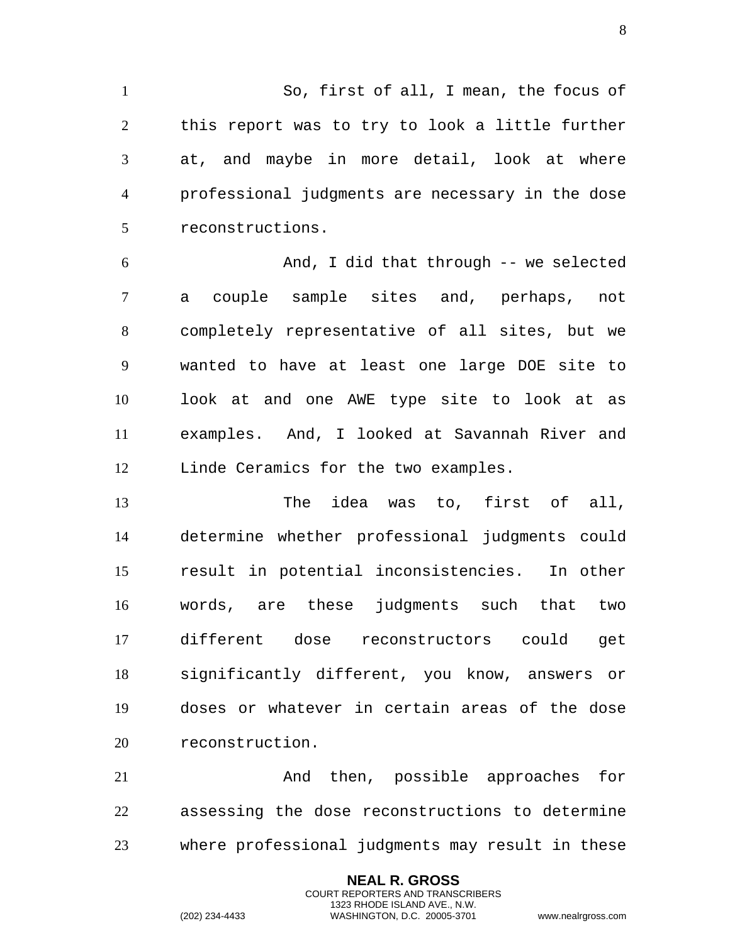So, first of all, I mean, the focus of this report was to try to look a little further at, and maybe in more detail, look at where professional judgments are necessary in the dose reconstructions.

And, I did that through -- we selected a couple sample sites and, perhaps, not completely representative of all sites, but we wanted to have at least one large DOE site to look at and one AWE type site to look at as examples. And, I looked at Savannah River and Linde Ceramics for the two examples.

The idea was to, first of all, determine whether professional judgments could result in potential inconsistencies. In other words, are these judgments such that two different dose reconstructors could get significantly different, you know, answers or doses or whatever in certain areas of the dose reconstruction.

And then, possible approaches for assessing the dose reconstructions to determine where professional judgments may result in these

> **NEAL R. GROSS** COURT REPORTERS AND TRANSCRIBERS 1323 RHODE ISLAND AVE., N.W.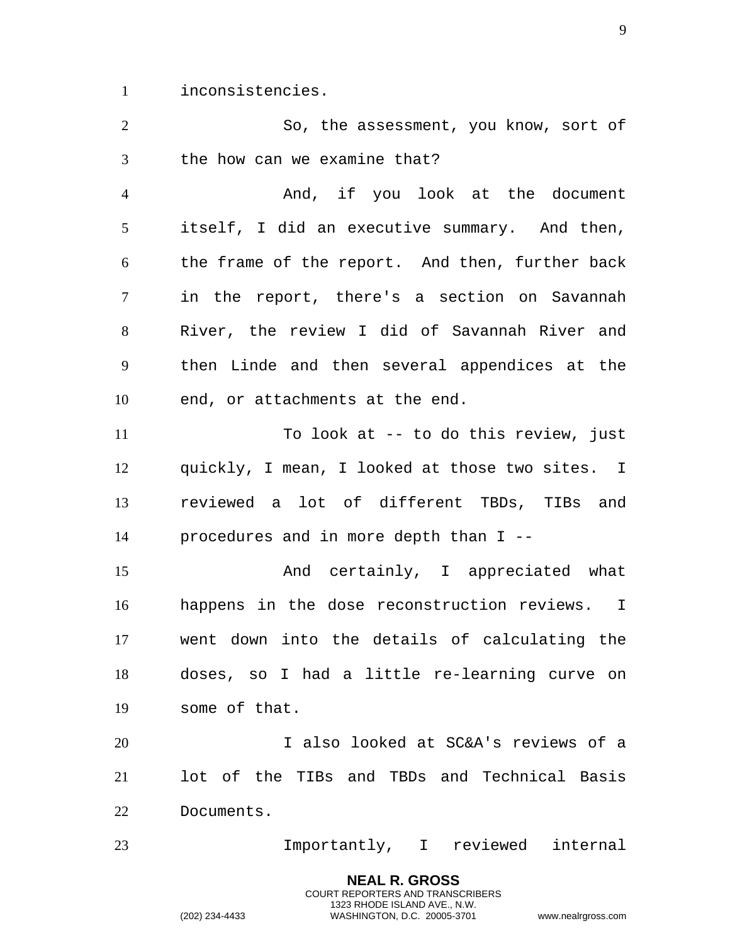inconsistencies.

So, the assessment, you know, sort of the how can we examine that?

And, if you look at the document itself, I did an executive summary. And then, the frame of the report. And then, further back in the report, there's a section on Savannah River, the review I did of Savannah River and then Linde and then several appendices at the end, or attachments at the end.

To look at -- to do this review, just quickly, I mean, I looked at those two sites. I reviewed a lot of different TBDs, TIBs and procedures and in more depth than I --

And certainly, I appreciated what happens in the dose reconstruction reviews. I went down into the details of calculating the doses, so I had a little re-learning curve on some of that.

I also looked at SC&A's reviews of a lot of the TIBs and TBDs and Technical Basis Documents.

Importantly, I reviewed internal

**NEAL R. GROSS** COURT REPORTERS AND TRANSCRIBERS 1323 RHODE ISLAND AVE., N.W.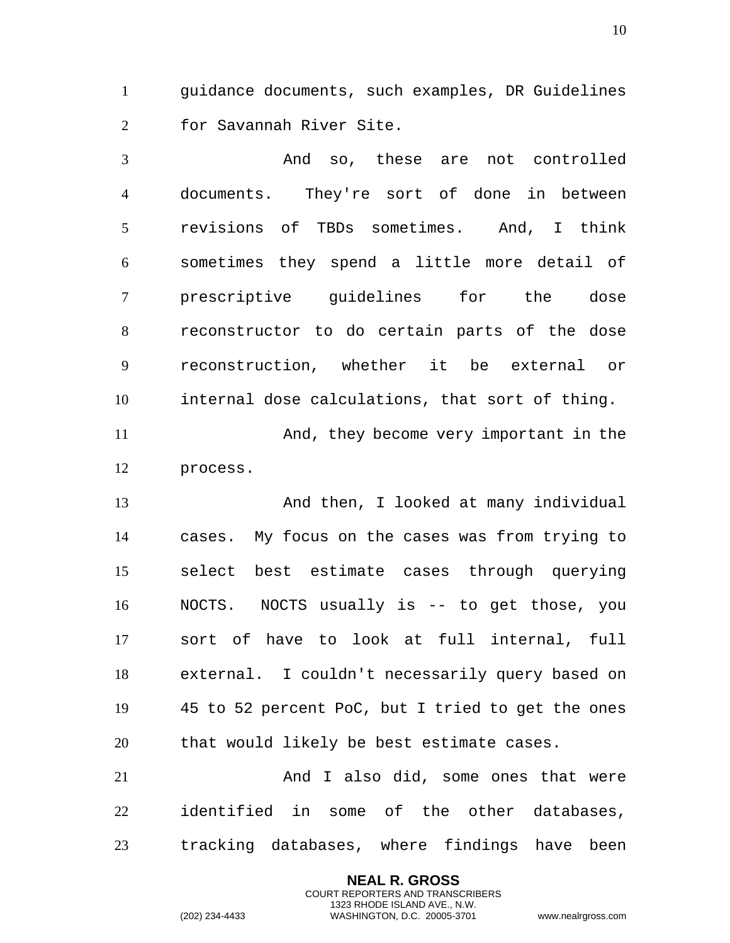guidance documents, such examples, DR Guidelines for Savannah River Site.

 And so, these are not controlled documents. They're sort of done in between revisions of TBDs sometimes. And, I think sometimes they spend a little more detail of prescriptive guidelines for the dose reconstructor to do certain parts of the dose reconstruction, whether it be external or internal dose calculations, that sort of thing. And, they become very important in the

process.

 And then, I looked at many individual cases. My focus on the cases was from trying to select best estimate cases through querying NOCTS. NOCTS usually is -- to get those, you sort of have to look at full internal, full external. I couldn't necessarily query based on 45 to 52 percent PoC, but I tried to get the ones that would likely be best estimate cases.

 And I also did, some ones that were identified in some of the other databases, tracking databases, where findings have been

> **NEAL R. GROSS** COURT REPORTERS AND TRANSCRIBERS 1323 RHODE ISLAND AVE., N.W.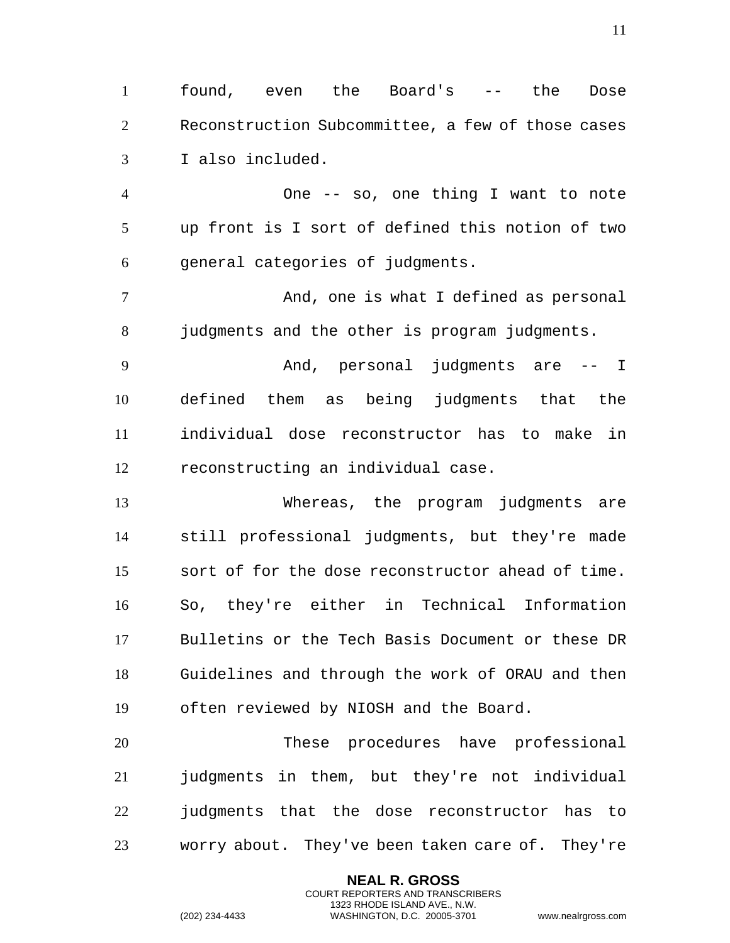found, even the Board's -- the Dose Reconstruction Subcommittee, a few of those cases I also included.

 One -- so, one thing I want to note up front is I sort of defined this notion of two general categories of judgments.

 And, one is what I defined as personal 8 judgments and the other is program judgments.

 And, personal judgments are -- I defined them as being judgments that the individual dose reconstructor has to make in reconstructing an individual case.

 Whereas, the program judgments are still professional judgments, but they're made sort of for the dose reconstructor ahead of time. So, they're either in Technical Information Bulletins or the Tech Basis Document or these DR Guidelines and through the work of ORAU and then often reviewed by NIOSH and the Board.

 These procedures have professional judgments in them, but they're not individual judgments that the dose reconstructor has to worry about. They've been taken care of. They're

> **NEAL R. GROSS** COURT REPORTERS AND TRANSCRIBERS 1323 RHODE ISLAND AVE., N.W.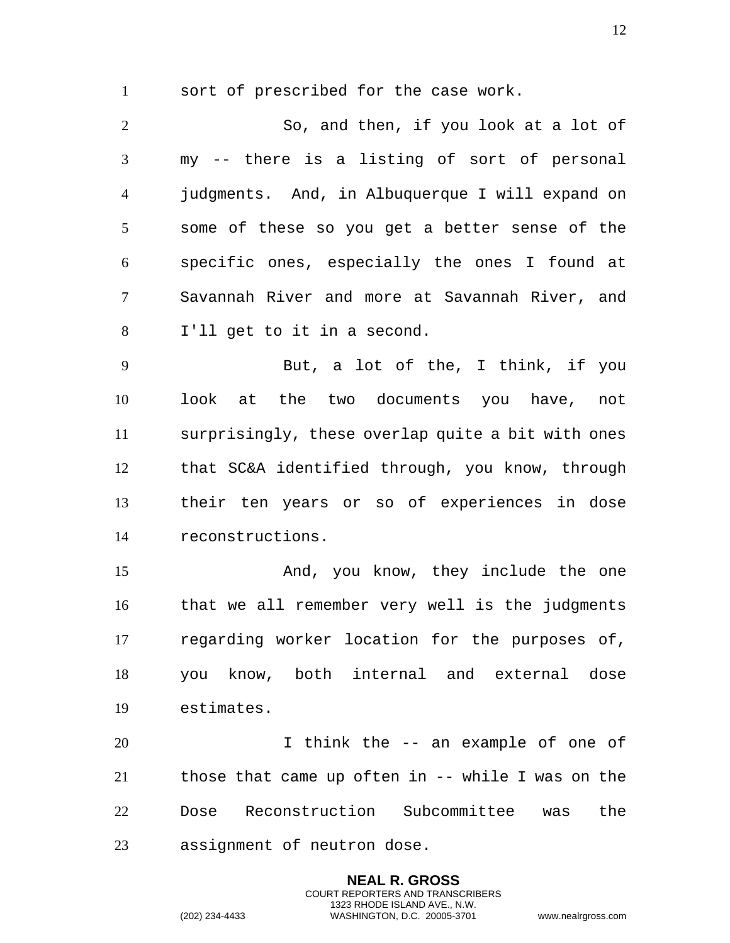sort of prescribed for the case work.

So, and then, if you look at a lot of my -- there is a listing of sort of personal judgments. And, in Albuquerque I will expand on some of these so you get a better sense of the specific ones, especially the ones I found at Savannah River and more at Savannah River, and I'll get to it in a second. But, a lot of the, I think, if you

look at the two documents you have, not surprisingly, these overlap quite a bit with ones that SC&A identified through, you know, through their ten years or so of experiences in dose reconstructions.

And, you know, they include the one that we all remember very well is the judgments regarding worker location for the purposes of, you know, both internal and external dose estimates.

I think the -- an example of one of those that came up often in -- while I was on the Dose Reconstruction Subcommittee was the assignment of neutron dose.

> **NEAL R. GROSS** COURT REPORTERS AND TRANSCRIBERS 1323 RHODE ISLAND AVE., N.W.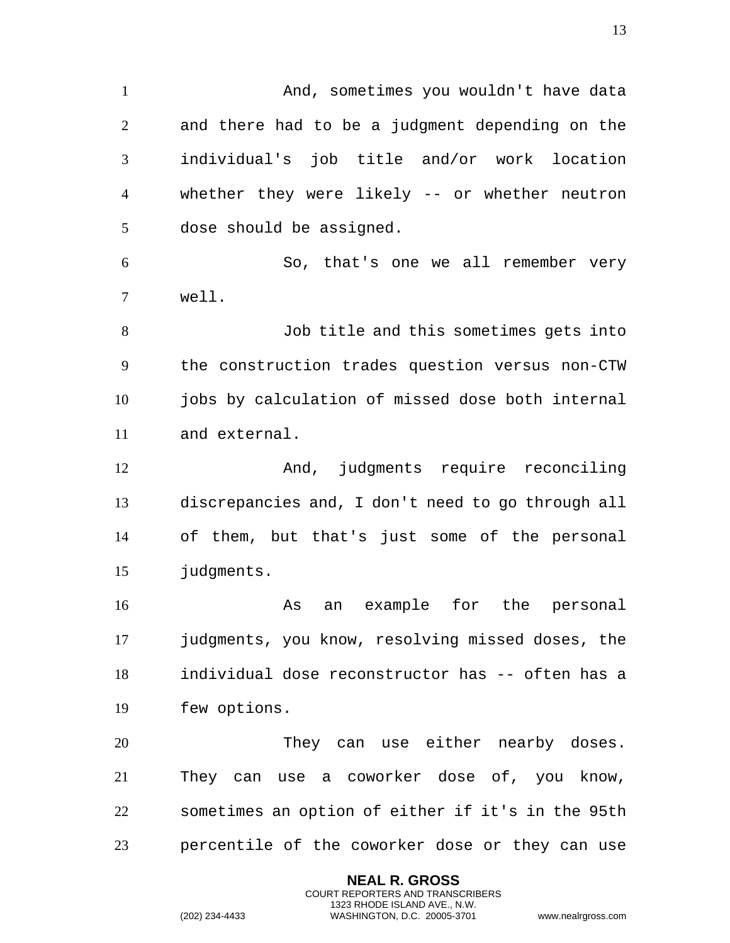1 And, sometimes you wouldn't have data and there had to be a judgment depending on the individual's job title and/or work location whether they were likely -- or whether neutron dose should be assigned. So, that's one we all remember very well. Job title and this sometimes gets into the construction trades question versus non-CTW 10 jobs by calculation of missed dose both internal and external. And, judgments require reconciling discrepancies and, I don't need to go through all of them, but that's just some of the personal judgments. As an example for the personal judgments, you know, resolving missed doses, the individual dose reconstructor has -- often has a few options. They can use either nearby doses. They can use a coworker dose of, you know, sometimes an option of either if it's in the 95th percentile of the coworker dose or they can use

> **NEAL R. GROSS** COURT REPORTERS AND TRANSCRIBERS 1323 RHODE ISLAND AVE., N.W.

(202) 234-4433 WASHINGTON, D.C. 20005-3701 www.nealrgross.com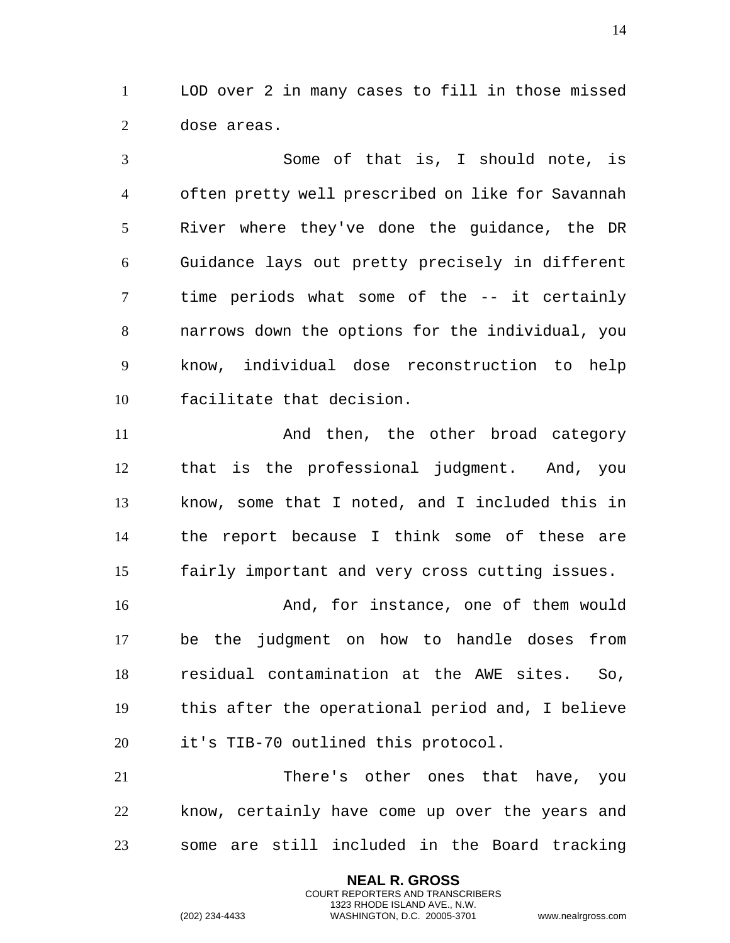LOD over 2 in many cases to fill in those missed dose areas.

Some of that is, I should note, is often pretty well prescribed on like for Savannah River where they've done the guidance, the DR Guidance lays out pretty precisely in different time periods what some of the -- it certainly narrows down the options for the individual, you know, individual dose reconstruction to help facilitate that decision.

And then, the other broad category that is the professional judgment. And, you know, some that I noted, and I included this in the report because I think some of these are fairly important and very cross cutting issues.

And, for instance, one of them would be the judgment on how to handle doses from residual contamination at the AWE sites. So, this after the operational period and, I believe it's TIB-70 outlined this protocol.

There's other ones that have, you know, certainly have come up over the years and some are still included in the Board tracking

> **NEAL R. GROSS** COURT REPORTERS AND TRANSCRIBERS 1323 RHODE ISLAND AVE., N.W.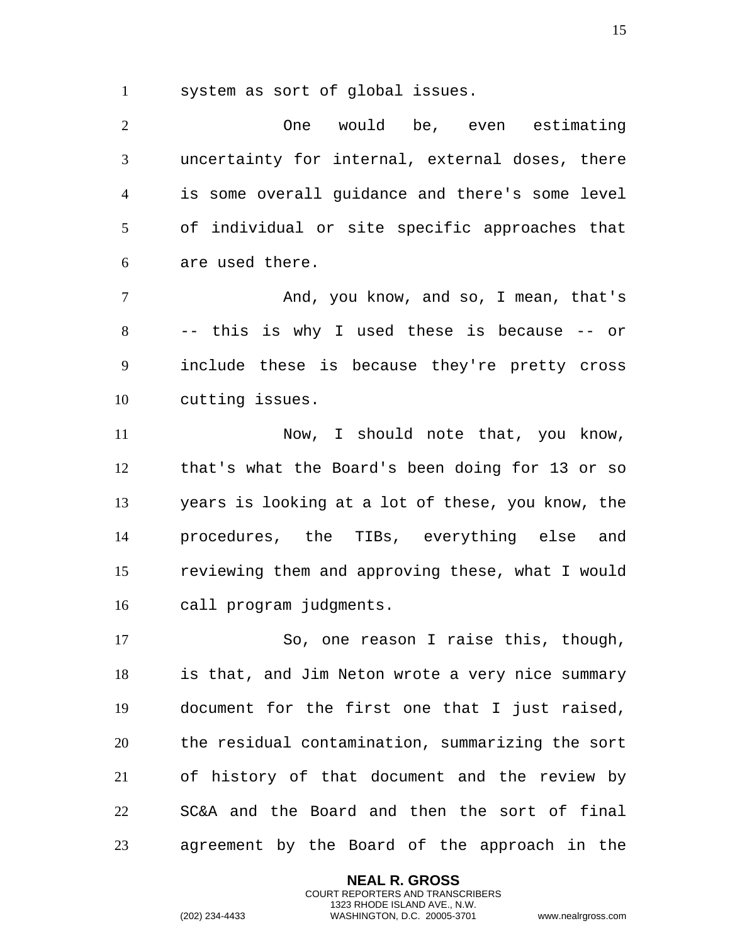system as sort of global issues.

One would be, even estimating uncertainty for internal, external doses, there is some overall guidance and there's some level of individual or site specific approaches that are used there.

And, you know, and so, I mean, that's -- this is why I used these is because -- or include these is because they're pretty cross cutting issues.

Now, I should note that, you know, that's what the Board's been doing for 13 or so years is looking at a lot of these, you know, the procedures, the TIBs, everything else and reviewing them and approving these, what I would call program judgments.

So, one reason I raise this, though, is that, and Jim Neton wrote a very nice summary document for the first one that I just raised, the residual contamination, summarizing the sort of history of that document and the review by SC&A and the Board and then the sort of final agreement by the Board of the approach in the

> **NEAL R. GROSS** COURT REPORTERS AND TRANSCRIBERS 1323 RHODE ISLAND AVE., N.W.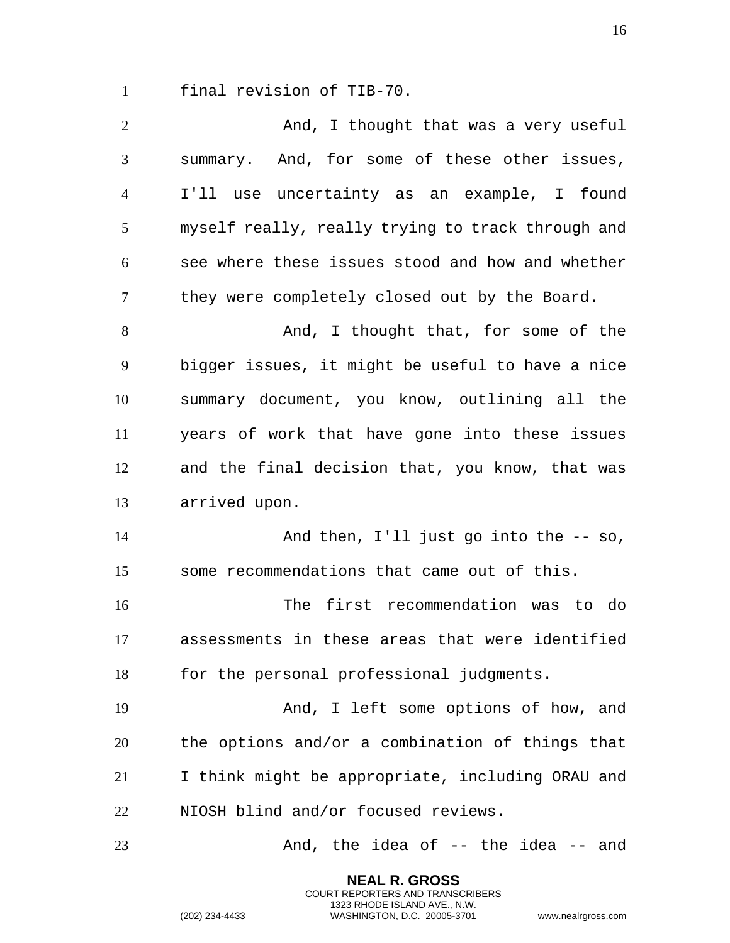final revision of TIB-70.

| $\overline{2}$ | And, I thought that was a very useful             |
|----------------|---------------------------------------------------|
| 3              | summary. And, for some of these other issues,     |
| $\overline{4}$ | I'll use uncertainty as an example, I found       |
| 5              | myself really, really trying to track through and |
| 6              | see where these issues stood and how and whether  |
| 7              | they were completely closed out by the Board.     |
| 8              | And, I thought that, for some of the              |
| 9              | bigger issues, it might be useful to have a nice  |
| 10             | summary document, you know, outlining all the     |
| 11             | years of work that have gone into these issues    |
| 12             | and the final decision that, you know, that was   |
| 13             | arrived upon.                                     |
| 14             | And then, $I'll$ just go into the $-$ so,         |
| 15             | some recommendations that came out of this.       |
| 16             | The first recommendation was to do                |
| 17             | assessments in these areas that were identified   |
| 18             | for the personal professional judgments.          |
| 19             | And, I left some options of how, and              |
| 20             | the options and/or a combination of things that   |
| 21             | I think might be appropriate, including ORAU and  |
| 22             | NIOSH blind and/or focused reviews.               |
|                |                                                   |

**NEAL R. GROSS** COURT REPORTERS AND TRANSCRIBERS 1323 RHODE ISLAND AVE., N.W.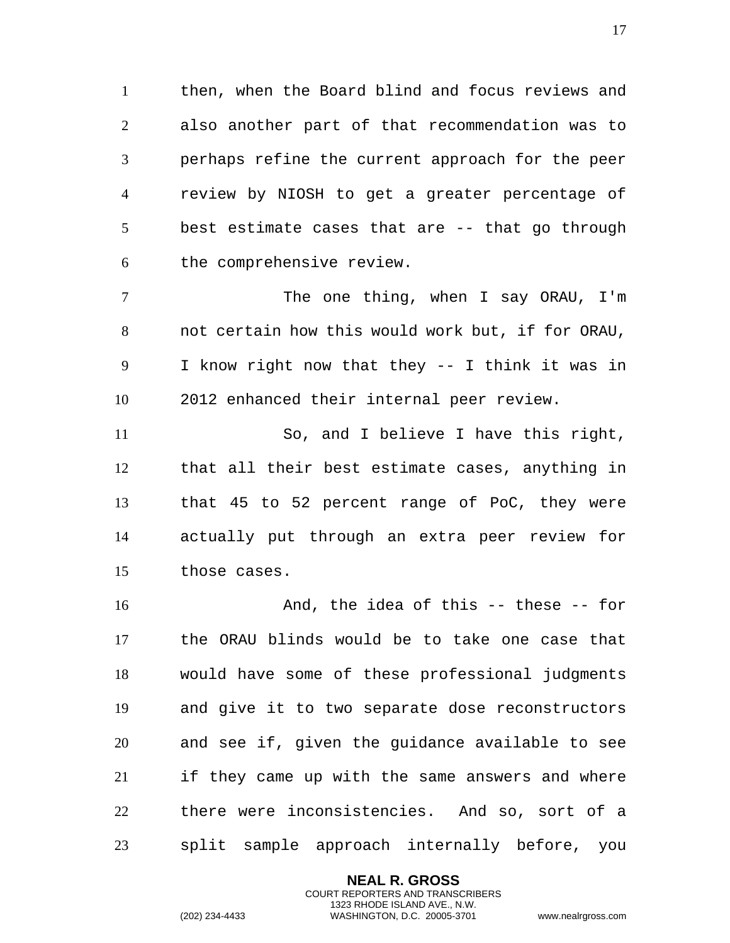then, when the Board blind and focus reviews and also another part of that recommendation was to perhaps refine the current approach for the peer review by NIOSH to get a greater percentage of best estimate cases that are -- that go through the comprehensive review.

7 The one thing, when I say ORAU, I'm not certain how this would work but, if for ORAU, I know right now that they -- I think it was in 2012 enhanced their internal peer review.

So, and I believe I have this right, that all their best estimate cases, anything in that 45 to 52 percent range of PoC, they were actually put through an extra peer review for those cases.

And, the idea of this -- these -- for the ORAU blinds would be to take one case that would have some of these professional judgments and give it to two separate dose reconstructors and see if, given the guidance available to see if they came up with the same answers and where there were inconsistencies. And so, sort of a split sample approach internally before, you

> **NEAL R. GROSS** COURT REPORTERS AND TRANSCRIBERS 1323 RHODE ISLAND AVE., N.W.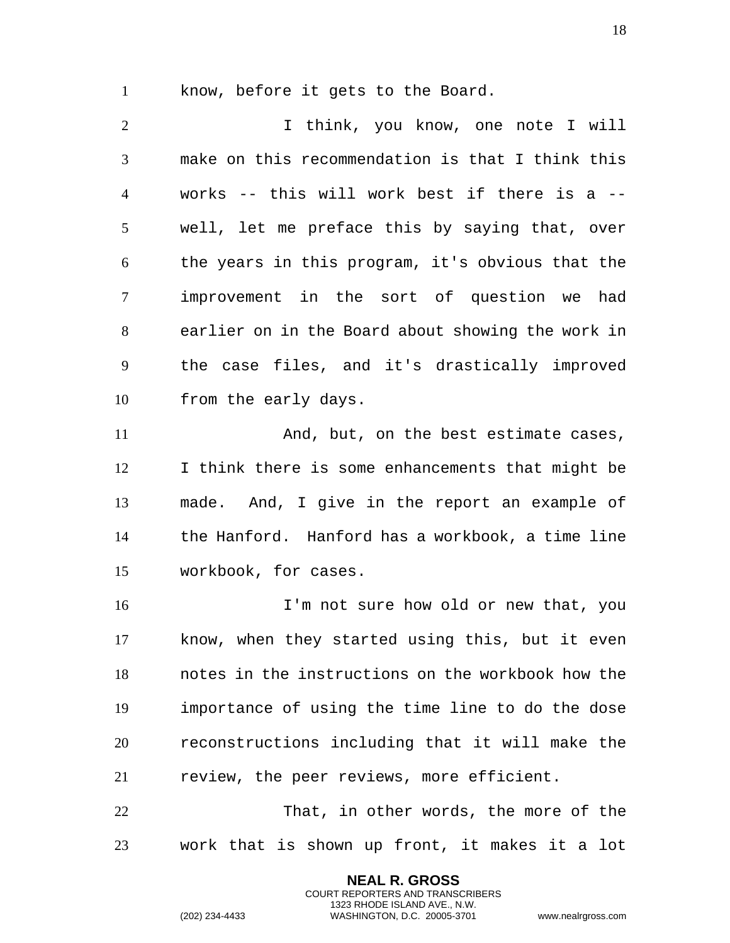know, before it gets to the Board.

I think, you know, one note I will make on this recommendation is that I think this works -- this will work best if there is a -- well, let me preface this by saying that, over the years in this program, it's obvious that the improvement in the sort of question we had earlier on in the Board about showing the work in the case files, and it's drastically improved from the early days.

11 And, but, on the best estimate cases, I think there is some enhancements that might be made. And, I give in the report an example of the Hanford. Hanford has a workbook, a time line workbook, for cases.

I'm not sure how old or new that, you know, when they started using this, but it even notes in the instructions on the workbook how the importance of using the time line to do the dose reconstructions including that it will make the review, the peer reviews, more efficient.

That, in other words, the more of the work that is shown up front, it makes it a lot

> **NEAL R. GROSS** COURT REPORTERS AND TRANSCRIBERS 1323 RHODE ISLAND AVE., N.W.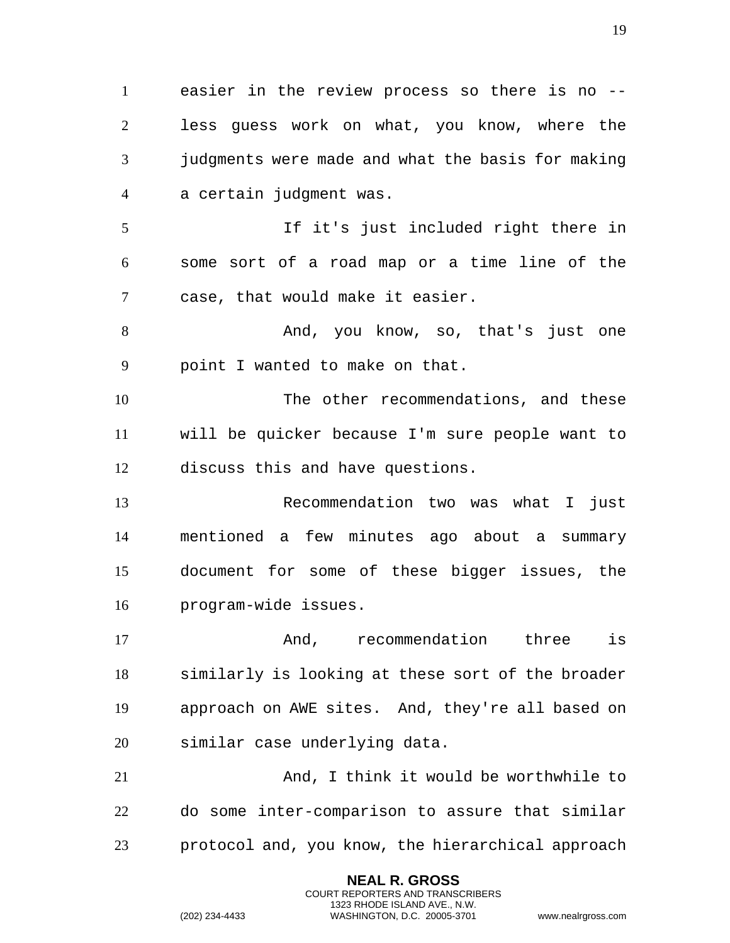easier in the review process so there is no -- less guess work on what, you know, where the judgments were made and what the basis for making a certain judgment was. If it's just included right there in some sort of a road map or a time line of the case, that would make it easier. 8 And, you know, so, that's just one point I wanted to make on that. The other recommendations, and these will be quicker because I'm sure people want to discuss this and have questions. Recommendation two was what I just mentioned a few minutes ago about a summary document for some of these bigger issues, the program-wide issues. And, recommendation three is similarly is looking at these sort of the broader approach on AWE sites. And, they're all based on similar case underlying data. And, I think it would be worthwhile to do some inter-comparison to assure that similar protocol and, you know, the hierarchical approach

> **NEAL R. GROSS** COURT REPORTERS AND TRANSCRIBERS 1323 RHODE ISLAND AVE., N.W.

(202) 234-4433 WASHINGTON, D.C. 20005-3701 www.nealrgross.com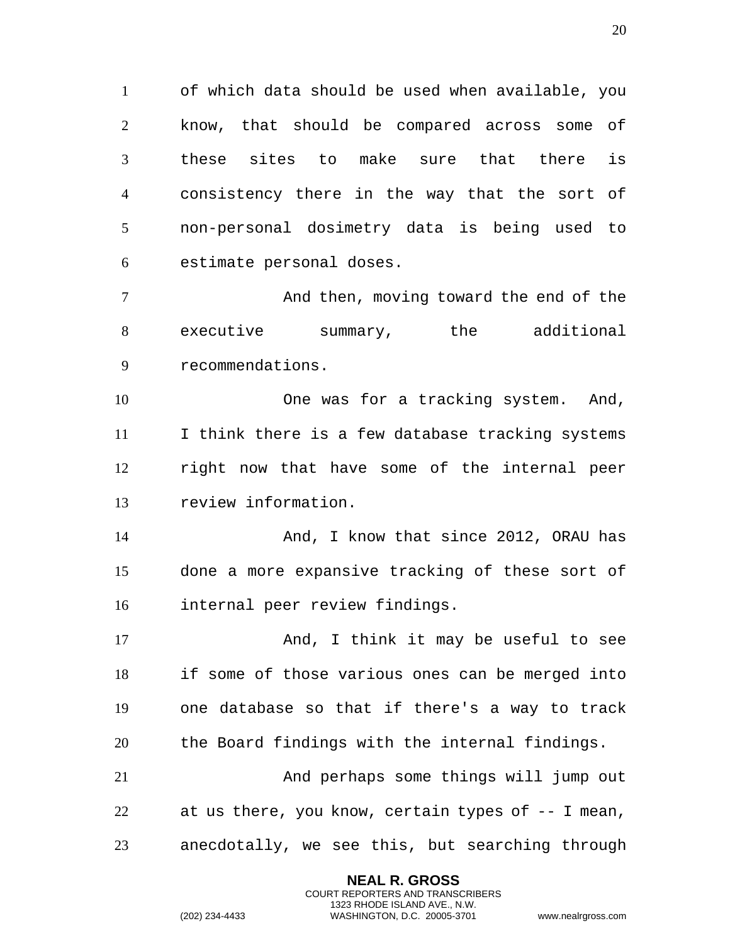of which data should be used when available, you know, that should be compared across some of these sites to make sure that there is consistency there in the way that the sort of non-personal dosimetry data is being used to estimate personal doses.

 And then, moving toward the end of the executive summary, the additional recommendations.

 One was for a tracking system. And, I think there is a few database tracking systems right now that have some of the internal peer review information.

14 And, I know that since 2012, ORAU has done a more expansive tracking of these sort of internal peer review findings.

17 And, I think it may be useful to see if some of those various ones can be merged into one database so that if there's a way to track the Board findings with the internal findings.

 And perhaps some things will jump out at us there, you know, certain types of -- I mean, anecdotally, we see this, but searching through

> **NEAL R. GROSS** COURT REPORTERS AND TRANSCRIBERS 1323 RHODE ISLAND AVE., N.W.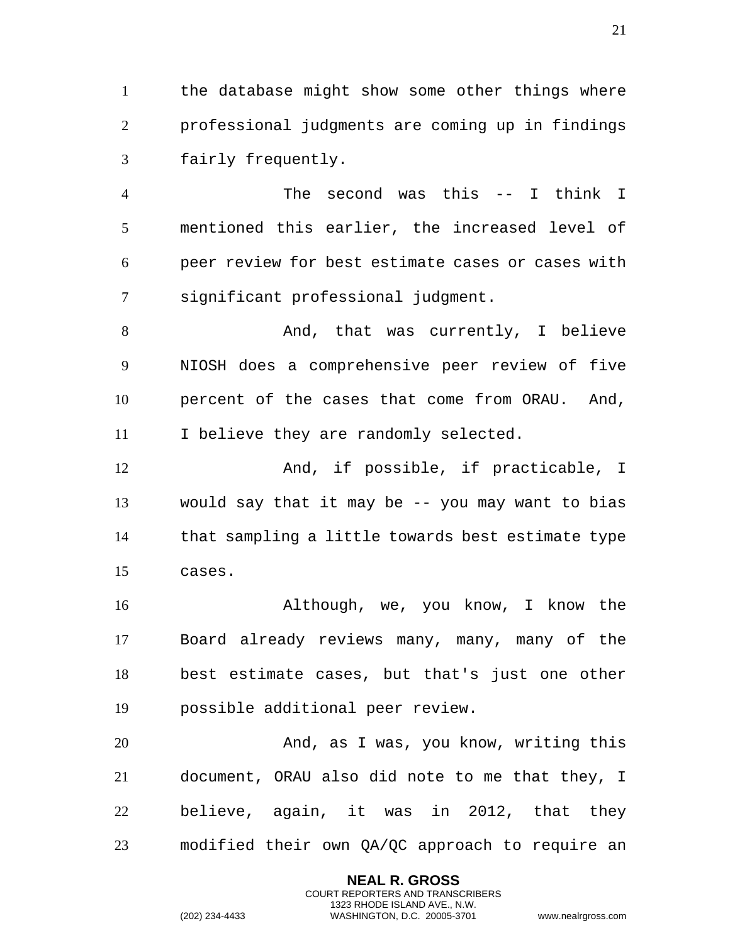the database might show some other things where professional judgments are coming up in findings fairly frequently.

 The second was this -- I think I mentioned this earlier, the increased level of peer review for best estimate cases or cases with significant professional judgment.

8 And, that was currently, I believe NIOSH does a comprehensive peer review of five percent of the cases that come from ORAU. And, 11 I believe they are randomly selected.

 And, if possible, if practicable, I would say that it may be -- you may want to bias that sampling a little towards best estimate type cases.

 Although, we, you know, I know the Board already reviews many, many, many of the best estimate cases, but that's just one other possible additional peer review.

 And, as I was, you know, writing this document, ORAU also did note to me that they, I believe, again, it was in 2012, that they modified their own QA/QC approach to require an

> **NEAL R. GROSS** COURT REPORTERS AND TRANSCRIBERS 1323 RHODE ISLAND AVE., N.W.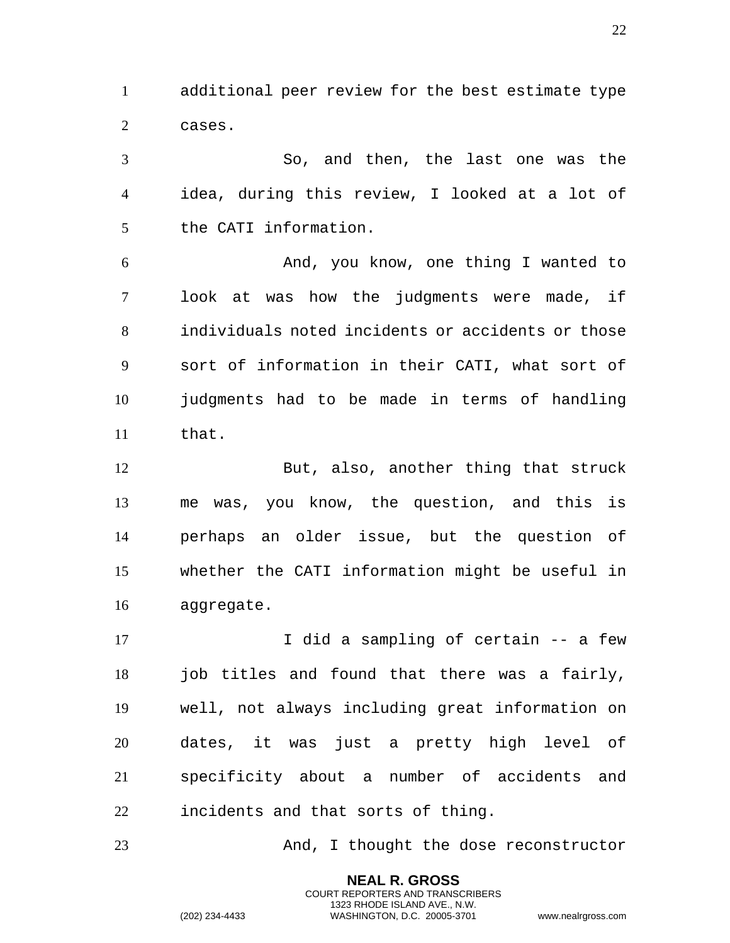additional peer review for the best estimate type cases.

 So, and then, the last one was the idea, during this review, I looked at a lot of the CATI information.

 And, you know, one thing I wanted to look at was how the judgments were made, if individuals noted incidents or accidents or those sort of information in their CATI, what sort of judgments had to be made in terms of handling that.

 But, also, another thing that struck me was, you know, the question, and this is perhaps an older issue, but the question of whether the CATI information might be useful in aggregate.

17 10 I did a sampling of certain -- a few 18 job titles and found that there was a fairly, well, not always including great information on dates, it was just a pretty high level of specificity about a number of accidents and incidents and that sorts of thing.

And, I thought the dose reconstructor

**NEAL R. GROSS** COURT REPORTERS AND TRANSCRIBERS 1323 RHODE ISLAND AVE., N.W.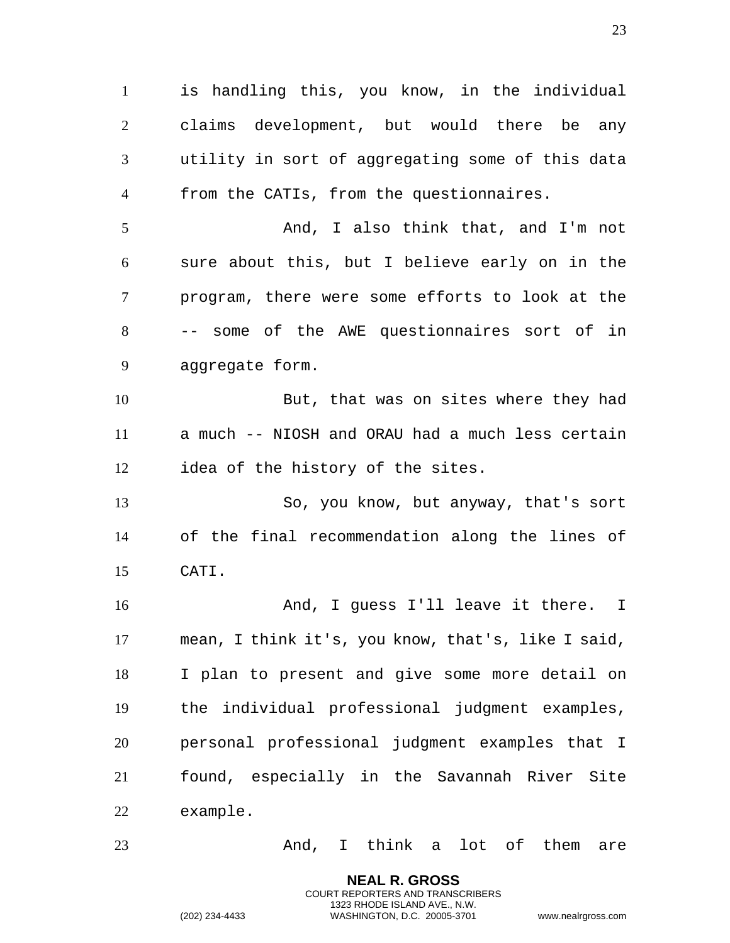is handling this, you know, in the individual claims development, but would there be any utility in sort of aggregating some of this data from the CATIs, from the questionnaires. And, I also think that, and I'm not sure about this, but I believe early on in the program, there were some efforts to look at the -- some of the AWE questionnaires sort of in aggregate form. But, that was on sites where they had a much -- NIOSH and ORAU had a much less certain idea of the history of the sites. So, you know, but anyway, that's sort of the final recommendation along the lines of CATI. And, I guess I'll leave it there. I mean, I think it's, you know, that's, like I said, I plan to present and give some more detail on the individual professional judgment examples, personal professional judgment examples that I found, especially in the Savannah River Site example. And, I think a lot of them are

> **NEAL R. GROSS** COURT REPORTERS AND TRANSCRIBERS 1323 RHODE ISLAND AVE., N.W.

(202) 234-4433 WASHINGTON, D.C. 20005-3701 www.nealrgross.com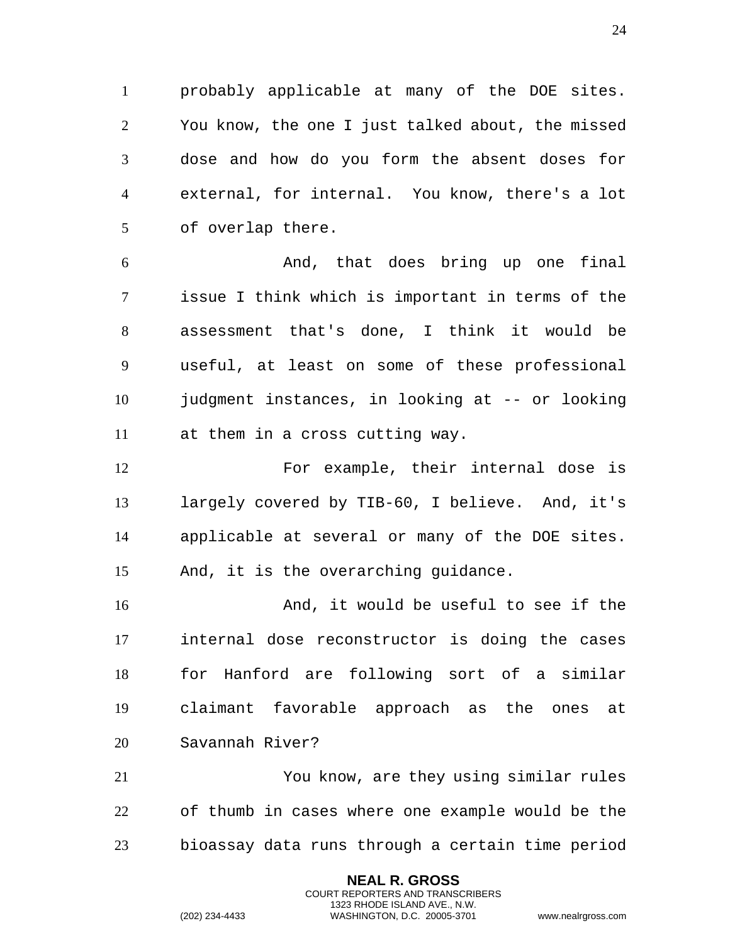probably applicable at many of the DOE sites. You know, the one I just talked about, the missed dose and how do you form the absent doses for external, for internal. You know, there's a lot of overlap there.

 And, that does bring up one final issue I think which is important in terms of the assessment that's done, I think it would be useful, at least on some of these professional judgment instances, in looking at -- or looking at them in a cross cutting way.

 For example, their internal dose is largely covered by TIB-60, I believe. And, it's applicable at several or many of the DOE sites. And, it is the overarching guidance.

 And, it would be useful to see if the internal dose reconstructor is doing the cases for Hanford are following sort of a similar claimant favorable approach as the ones at Savannah River?

 You know, are they using similar rules of thumb in cases where one example would be the bioassay data runs through a certain time period

> **NEAL R. GROSS** COURT REPORTERS AND TRANSCRIBERS 1323 RHODE ISLAND AVE., N.W.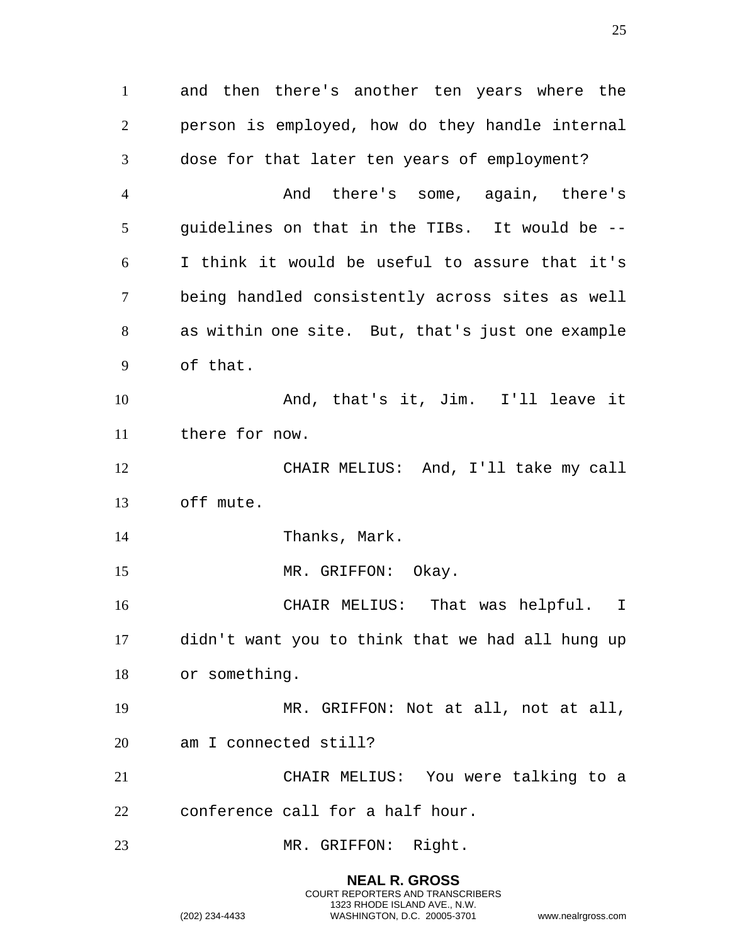and then there's another ten years where the person is employed, how do they handle internal dose for that later ten years of employment? 4 And there's some, again, there's guidelines on that in the TIBs. It would be -- I think it would be useful to assure that it's being handled consistently across sites as well as within one site. But, that's just one example of that. And, that's it, Jim. I'll leave it there for now. CHAIR MELIUS: And, I'll take my call off mute. Thanks, Mark. 15 MR. GRIFFON: Okay. CHAIR MELIUS: That was helpful. I didn't want you to think that we had all hung up or something. MR. GRIFFON: Not at all, not at all, am I connected still? CHAIR MELIUS: You were talking to a conference call for a half hour. MR. GRIFFON: Right.

> **NEAL R. GROSS** COURT REPORTERS AND TRANSCRIBERS 1323 RHODE ISLAND AVE., N.W.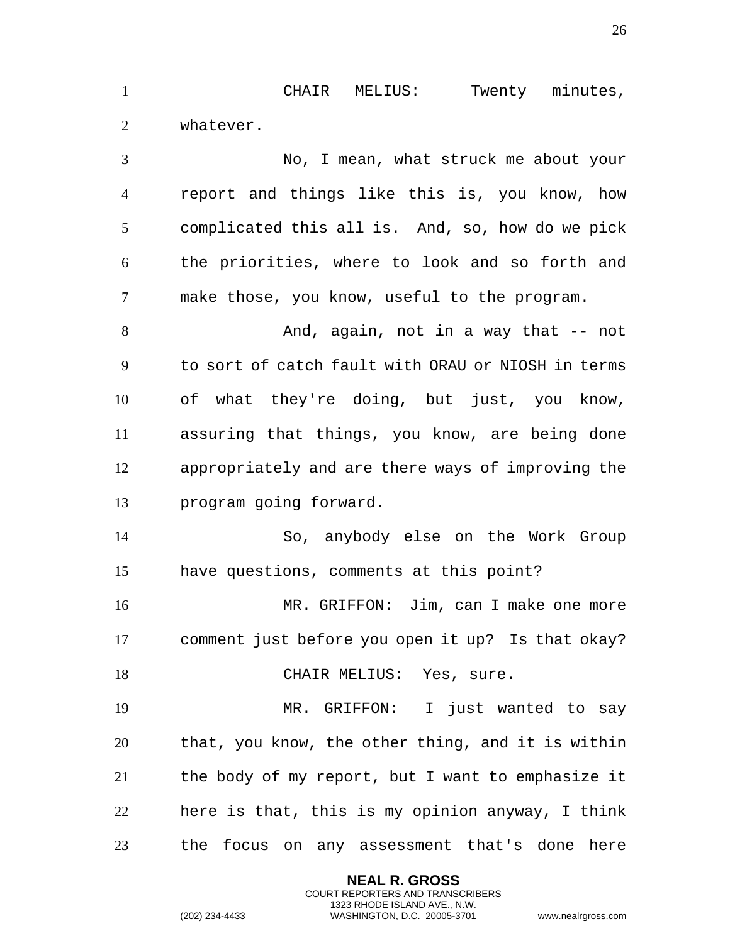CHAIR MELIUS: Twenty minutes, whatever.

 No, I mean, what struck me about your report and things like this is, you know, how complicated this all is. And, so, how do we pick the priorities, where to look and so forth and make those, you know, useful to the program. 8 And, again, not in a way that -- not to sort of catch fault with ORAU or NIOSH in terms of what they're doing, but just, you know, assuring that things, you know, are being done appropriately and are there ways of improving the program going forward. So, anybody else on the Work Group have questions, comments at this point? MR. GRIFFON: Jim, can I make one more comment just before you open it up? Is that okay? 18 CHAIR MELIUS: Yes, sure. MR. GRIFFON: I just wanted to say that, you know, the other thing, and it is within the body of my report, but I want to emphasize it here is that, this is my opinion anyway, I think the focus on any assessment that's done here

> **NEAL R. GROSS** COURT REPORTERS AND TRANSCRIBERS 1323 RHODE ISLAND AVE., N.W.

(202) 234-4433 WASHINGTON, D.C. 20005-3701 www.nealrgross.com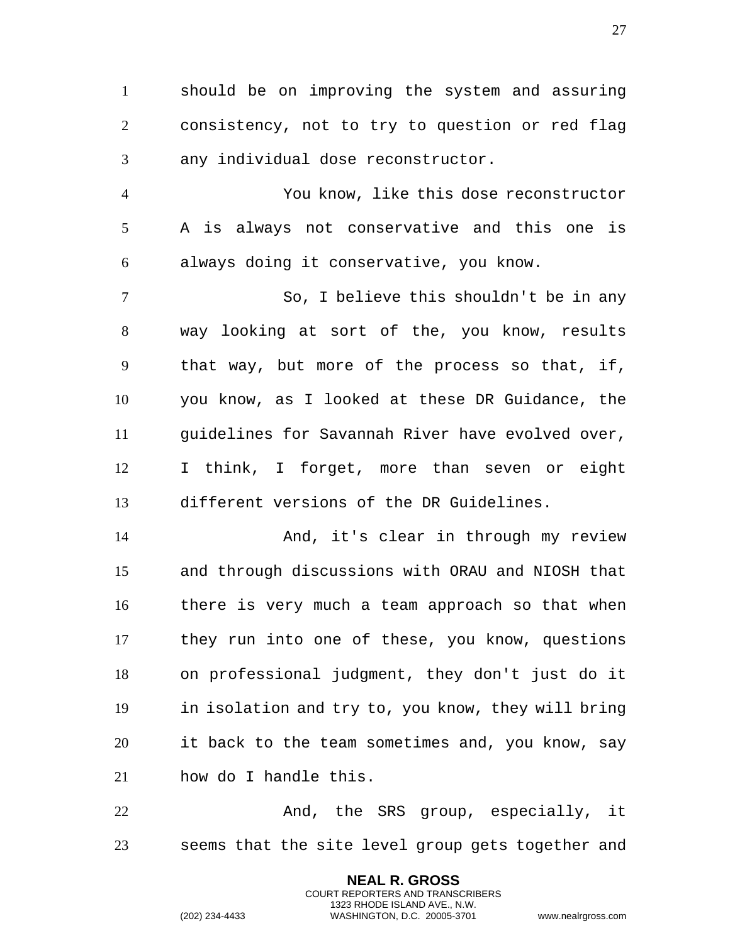should be on improving the system and assuring consistency, not to try to question or red flag any individual dose reconstructor.

 You know, like this dose reconstructor A is always not conservative and this one is always doing it conservative, you know.

 So, I believe this shouldn't be in any way looking at sort of the, you know, results that way, but more of the process so that, if, you know, as I looked at these DR Guidance, the guidelines for Savannah River have evolved over, I think, I forget, more than seven or eight different versions of the DR Guidelines.

 And, it's clear in through my review and through discussions with ORAU and NIOSH that there is very much a team approach so that when they run into one of these, you know, questions on professional judgment, they don't just do it in isolation and try to, you know, they will bring it back to the team sometimes and, you know, say how do I handle this.

22 And, the SRS group, especially, it seems that the site level group gets together and

> **NEAL R. GROSS** COURT REPORTERS AND TRANSCRIBERS 1323 RHODE ISLAND AVE., N.W.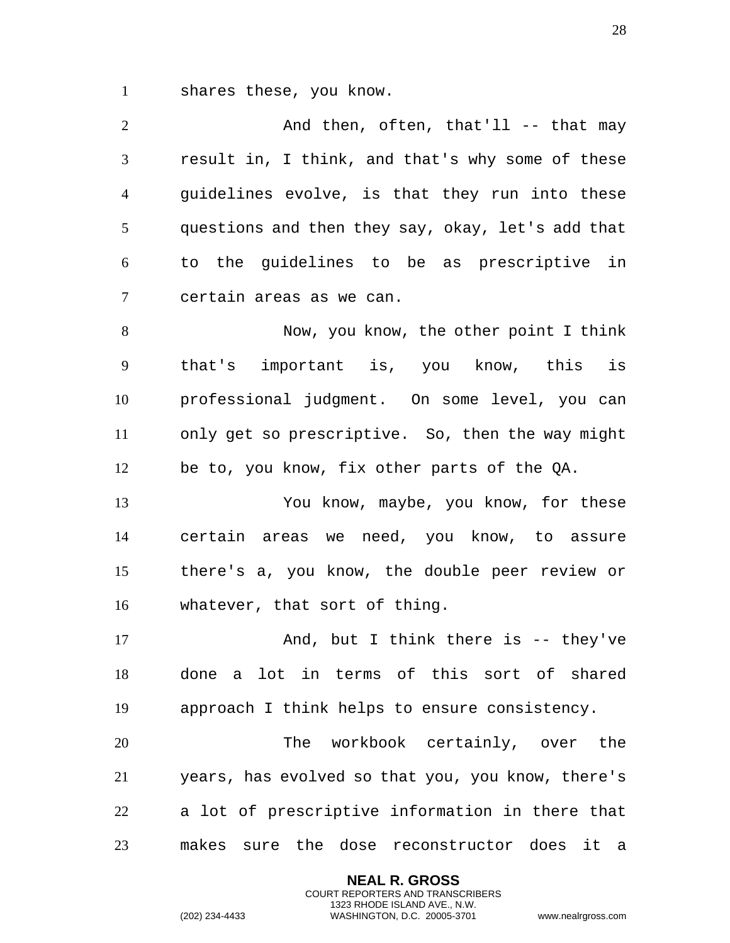shares these, you know.

| $\overline{2}$ | And then, often, that'll -- that may              |
|----------------|---------------------------------------------------|
| 3              | result in, I think, and that's why some of these  |
| $\overline{4}$ | guidelines evolve, is that they run into these    |
| 5              | questions and then they say, okay, let's add that |
| 6              | to the guidelines to be as prescriptive in        |
| $\tau$         | certain areas as we can.                          |
| 8              | Now, you know, the other point I think            |
| 9              | that's important is, you know, this is            |
| 10             | professional judgment. On some level, you can     |
| 11             | only get so prescriptive. So, then the way might  |
| 12             | be to, you know, fix other parts of the QA.       |
| 13             | You know, maybe, you know, for these              |
| 14             | certain areas we need, you know, to assure        |
| 15             | there's a, you know, the double peer review or    |
| 16             | whatever, that sort of thing.                     |

17 And, but I think there is -- they've done a lot in terms of this sort of shared approach I think helps to ensure consistency.

 The workbook certainly, over the years, has evolved so that you, you know, there's a lot of prescriptive information in there that makes sure the dose reconstructor does it a

> **NEAL R. GROSS** COURT REPORTERS AND TRANSCRIBERS 1323 RHODE ISLAND AVE., N.W.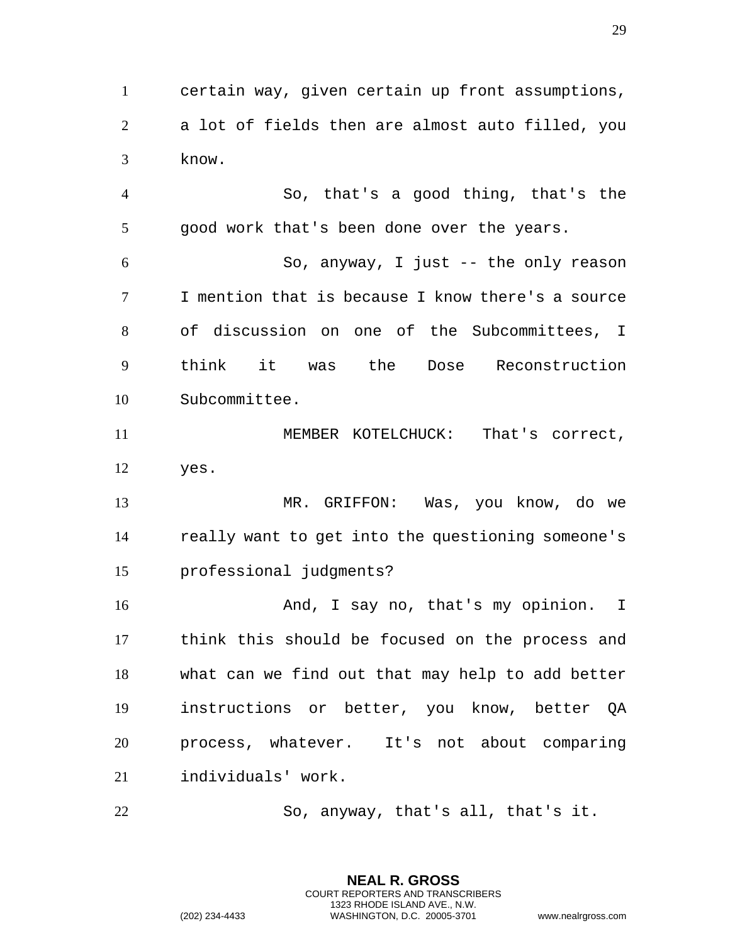certain way, given certain up front assumptions, a lot of fields then are almost auto filled, you know.

 So, that's a good thing, that's the good work that's been done over the years.

 So, anyway, I just -- the only reason I mention that is because I know there's a source of discussion on one of the Subcommittees, I think it was the Dose Reconstruction Subcommittee.

11 MEMBER KOTELCHUCK: That's correct, yes.

 MR. GRIFFON: Was, you know, do we really want to get into the questioning someone's professional judgments?

 And, I say no, that's my opinion. I think this should be focused on the process and what can we find out that may help to add better instructions or better, you know, better QA process, whatever. It's not about comparing individuals' work.

So, anyway, that's all, that's it.

**NEAL R. GROSS** COURT REPORTERS AND TRANSCRIBERS 1323 RHODE ISLAND AVE., N.W.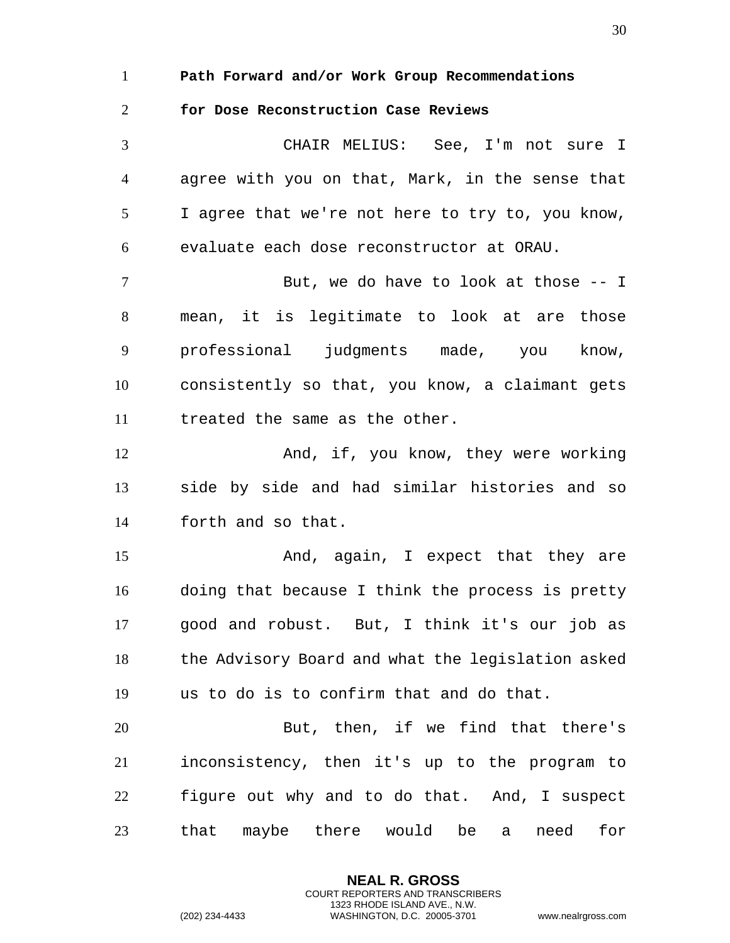**Path Forward and/or Work Group Recommendations** 

## **for Dose Reconstruction Case Reviews**

CHAIR MELIUS: See, I'm not sure I agree with you on that, Mark, in the sense that I agree that we're not here to try to, you know, evaluate each dose reconstructor at ORAU. 7 But, we do have to look at those -- I mean, it is legitimate to look at are those professional judgments made, you know, consistently so that, you know, a claimant gets treated the same as the other. And, if, you know, they were working side by side and had similar histories and so forth and so that. And, again, I expect that they are doing that because I think the process is pretty good and robust. But, I think it's our job as the Advisory Board and what the legislation asked us to do is to confirm that and do that. But, then, if we find that there's inconsistency, then it's up to the program to figure out why and to do that. And, I suspect that maybe there would be a need for

> **NEAL R. GROSS** COURT REPORTERS AND TRANSCRIBERS 1323 RHODE ISLAND AVE., N.W.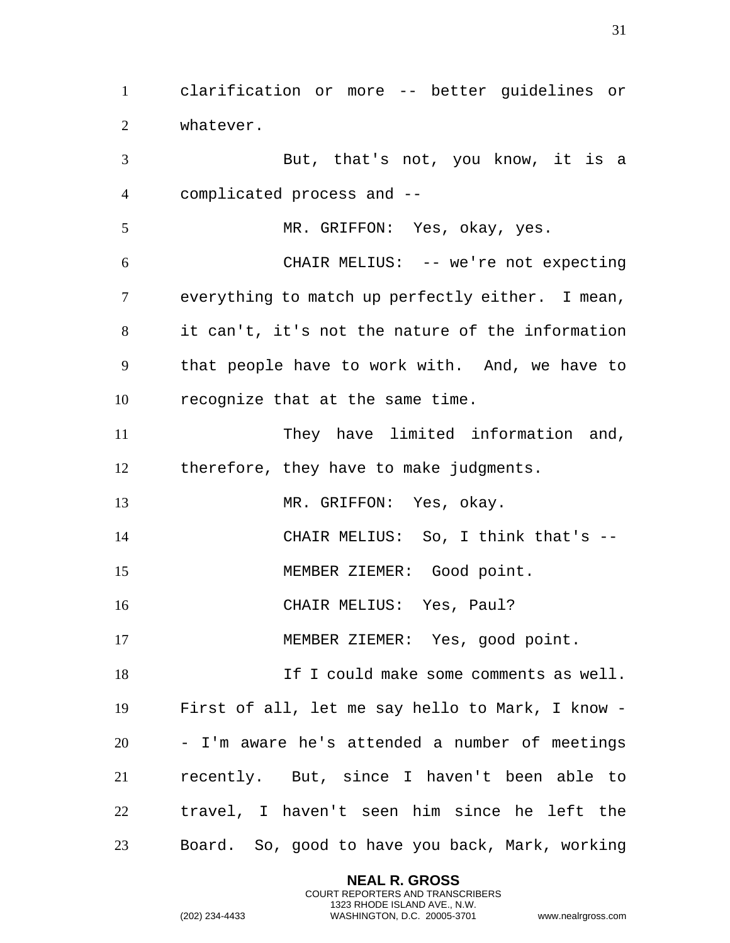clarification or more -- better guidelines or whatever.

 But, that's not, you know, it is a complicated process and -- MR. GRIFFON: Yes, okay, yes. CHAIR MELIUS: -- we're not expecting everything to match up perfectly either. I mean, it can't, it's not the nature of the information that people have to work with. And, we have to recognize that at the same time. 11 They have limited information and, therefore, they have to make judgments. 13 MR. GRIFFON: Yes, okay. CHAIR MELIUS: So, I think that's -- MEMBER ZIEMER: Good point. CHAIR MELIUS: Yes, Paul? MEMBER ZIEMER: Yes, good point. 18 18 If I could make some comments as well. First of all, let me say hello to Mark, I know - - I'm aware he's attended a number of meetings recently. But, since I haven't been able to travel, I haven't seen him since he left the Board. So, good to have you back, Mark, working

> **NEAL R. GROSS** COURT REPORTERS AND TRANSCRIBERS 1323 RHODE ISLAND AVE., N.W.

(202) 234-4433 WASHINGTON, D.C. 20005-3701 www.nealrgross.com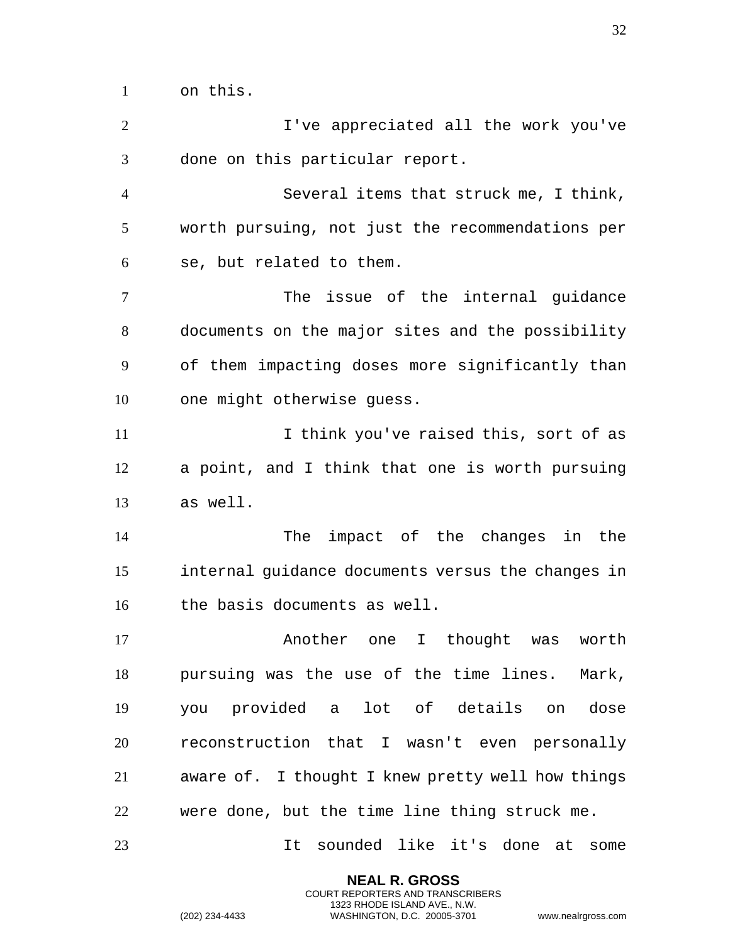on this.

I've appreciated all the work you've done on this particular report. Several items that struck me, I think, worth pursuing, not just the recommendations per se, but related to them. 7 The issue of the internal quidance documents on the major sites and the possibility of them impacting doses more significantly than one might otherwise guess. 11 11 I think you've raised this, sort of as a point, and I think that one is worth pursuing as well. The impact of the changes in the internal guidance documents versus the changes in the basis documents as well. **Another** one I thought was worth pursuing was the use of the time lines. Mark, you provided a lot of details on dose reconstruction that I wasn't even personally aware of. I thought I knew pretty well how things were done, but the time line thing struck me. It sounded like it's done at some

> **NEAL R. GROSS** COURT REPORTERS AND TRANSCRIBERS 1323 RHODE ISLAND AVE., N.W.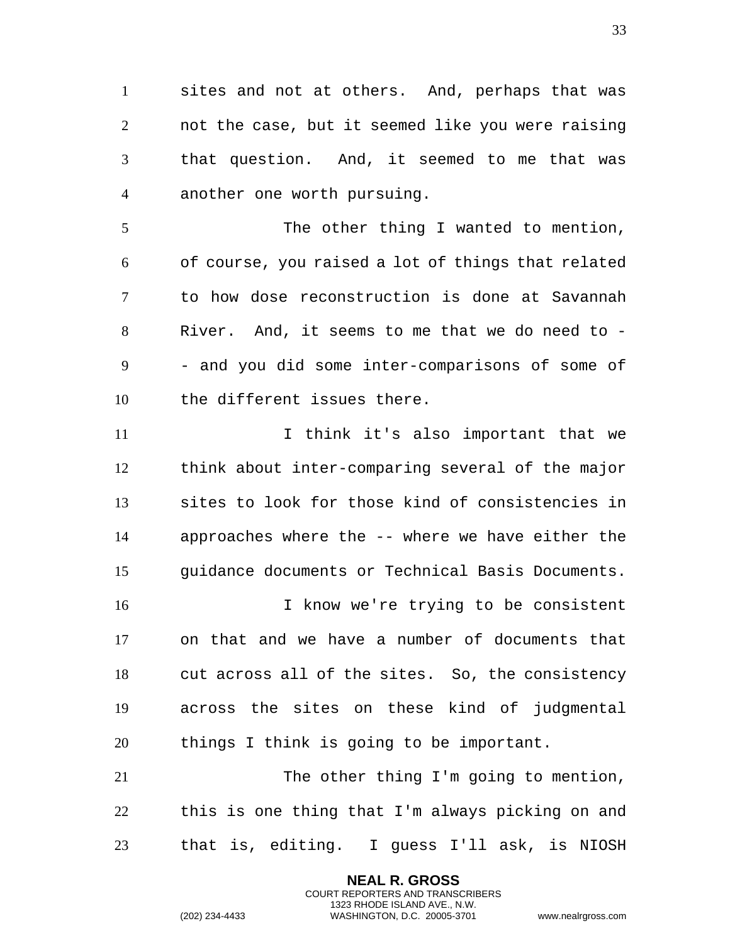sites and not at others. And, perhaps that was not the case, but it seemed like you were raising that question. And, it seemed to me that was another one worth pursuing.

5 The other thing I wanted to mention, of course, you raised a lot of things that related to how dose reconstruction is done at Savannah River. And, it seems to me that we do need to - - and you did some inter-comparisons of some of the different issues there.

 I think it's also important that we think about inter-comparing several of the major sites to look for those kind of consistencies in approaches where the -- where we have either the guidance documents or Technical Basis Documents.

 I know we're trying to be consistent on that and we have a number of documents that cut across all of the sites. So, the consistency across the sites on these kind of judgmental things I think is going to be important.

21 The other thing I'm going to mention, this is one thing that I'm always picking on and that is, editing. I guess I'll ask, is NIOSH

> **NEAL R. GROSS** COURT REPORTERS AND TRANSCRIBERS 1323 RHODE ISLAND AVE., N.W.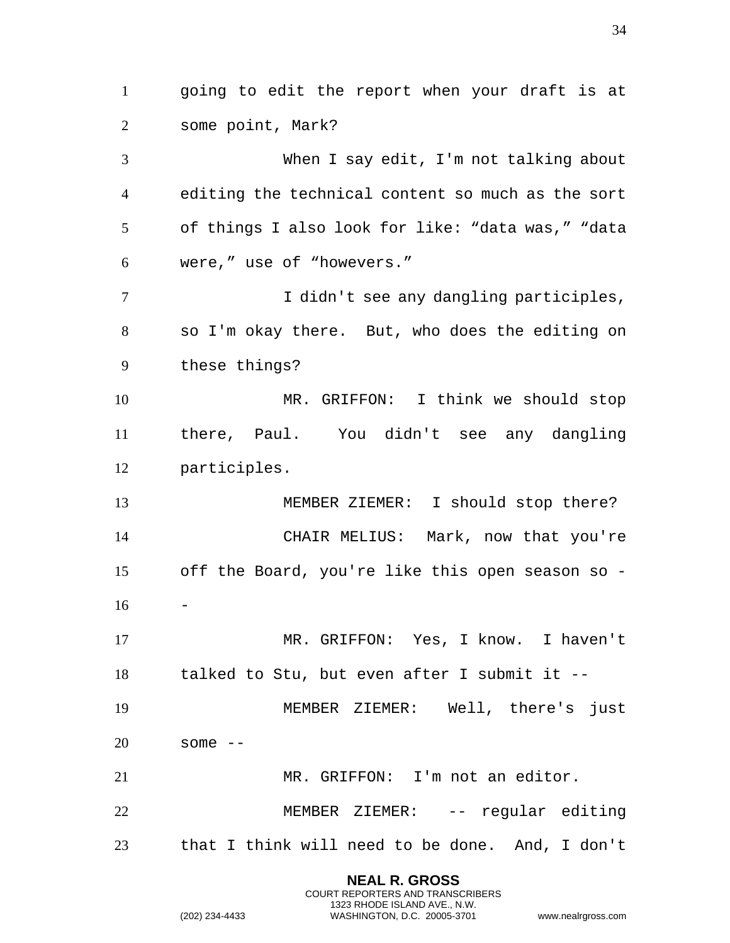going to edit the report when your draft is at some point, Mark? When I say edit, I'm not talking about editing the technical content so much as the sort of things I also look for like: "data was," "data were," use of "howevers." I didn't see any dangling participles, so I'm okay there. But, who does the editing on these things? MR. GRIFFON: I think we should stop there, Paul. You didn't see any dangling participles. MEMBER ZIEMER: I should stop there? CHAIR MELIUS: Mark, now that you're off the Board, you're like this open season so - - MR. GRIFFON: Yes, I know. I haven't talked to Stu, but even after I submit it -- MEMBER ZIEMER: Well, there's just some -- MR. GRIFFON: I'm not an editor. MEMBER ZIEMER: -- regular editing that I think will need to be done. And, I don't

> **NEAL R. GROSS** COURT REPORTERS AND TRANSCRIBERS 1323 RHODE ISLAND AVE., N.W.

(202) 234-4433 WASHINGTON, D.C. 20005-3701 www.nealrgross.com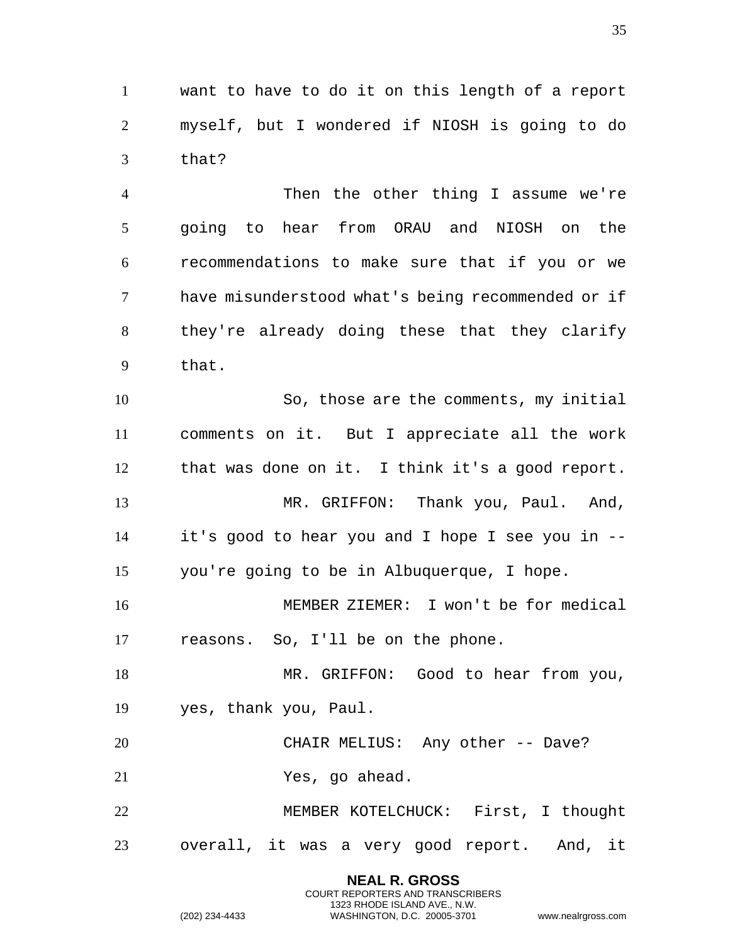want to have to do it on this length of a report myself, but I wondered if NIOSH is going to do that?

 Then the other thing I assume we're going to hear from ORAU and NIOSH on the recommendations to make sure that if you or we have misunderstood what's being recommended or if they're already doing these that they clarify that.

 So, those are the comments, my initial comments on it. But I appreciate all the work that was done on it. I think it's a good report. 13 MR. GRIFFON: Thank you, Paul. And, it's good to hear you and I hope I see you in -- you're going to be in Albuquerque, I hope.

 MEMBER ZIEMER: I won't be for medical reasons. So, I'll be on the phone.

18 MR. GRIFFON: Good to hear from you, yes, thank you, Paul.

CHAIR MELIUS: Any other -- Dave?

Yes, go ahead.

 MEMBER KOTELCHUCK: First, I thought overall, it was a very good report. And, it

> **NEAL R. GROSS** COURT REPORTERS AND TRANSCRIBERS 1323 RHODE ISLAND AVE., N.W.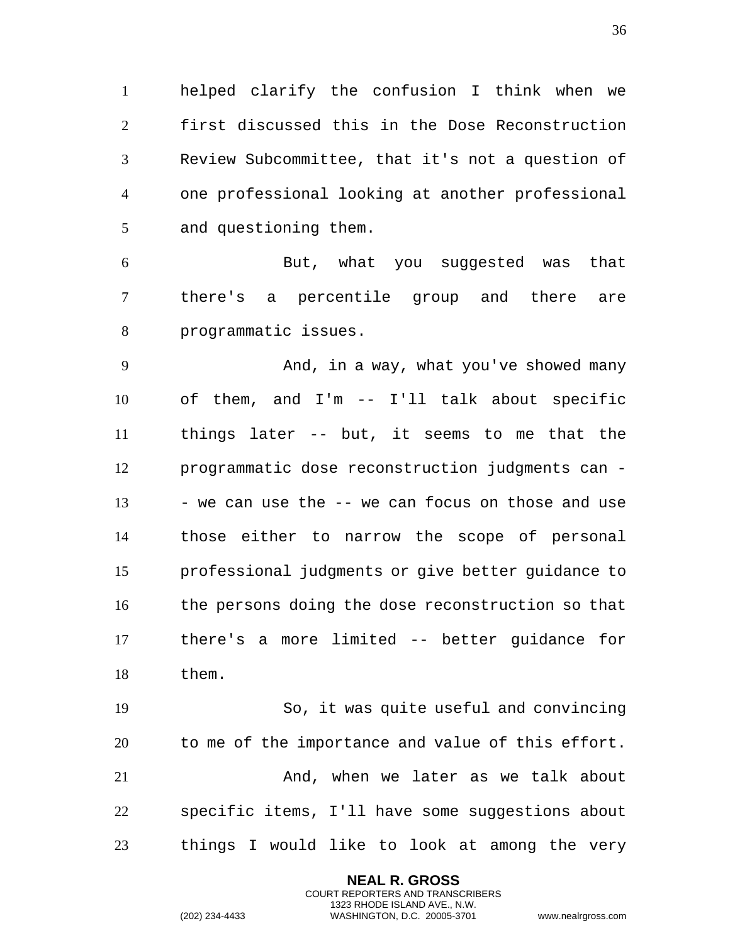helped clarify the confusion I think when we first discussed this in the Dose Reconstruction Review Subcommittee, that it's not a question of one professional looking at another professional and questioning them.

 But, what you suggested was that there's a percentile group and there are programmatic issues.

9 And, in a way, what you've showed many of them, and I'm -- I'll talk about specific things later -- but, it seems to me that the programmatic dose reconstruction judgments can - 13 - we can use the -- we can focus on those and use those either to narrow the scope of personal professional judgments or give better guidance to the persons doing the dose reconstruction so that there's a more limited -- better guidance for them.

 So, it was quite useful and convincing to me of the importance and value of this effort. And, when we later as we talk about specific items, I'll have some suggestions about things I would like to look at among the very

> **NEAL R. GROSS** COURT REPORTERS AND TRANSCRIBERS 1323 RHODE ISLAND AVE., N.W.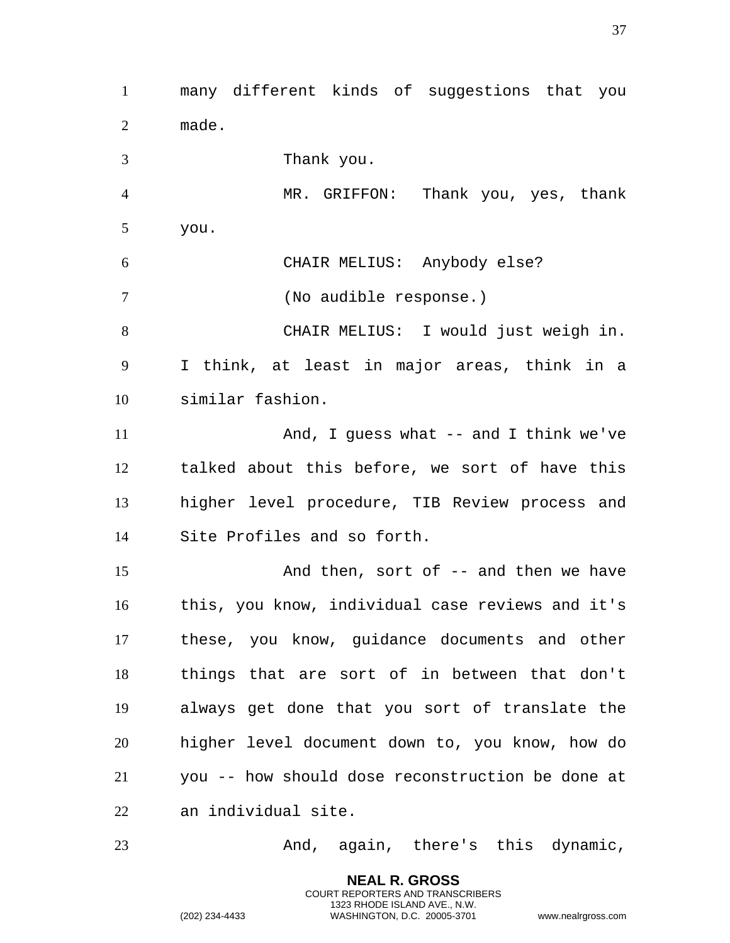many different kinds of suggestions that you made. Thank you. MR. GRIFFON: Thank you, yes, thank you. CHAIR MELIUS: Anybody else? (No audible response.) CHAIR MELIUS: I would just weigh in. I think, at least in major areas, think in a similar fashion. And, I guess what -- and I think we've talked about this before, we sort of have this higher level procedure, TIB Review process and Site Profiles and so forth. 15 And then, sort of -- and then we have this, you know, individual case reviews and it's these, you know, guidance documents and other things that are sort of in between that don't always get done that you sort of translate the higher level document down to, you know, how do you -- how should dose reconstruction be done at an individual site. And, again, there's this dynamic,

> **NEAL R. GROSS** COURT REPORTERS AND TRANSCRIBERS 1323 RHODE ISLAND AVE., N.W.

(202) 234-4433 WASHINGTON, D.C. 20005-3701 www.nealrgross.com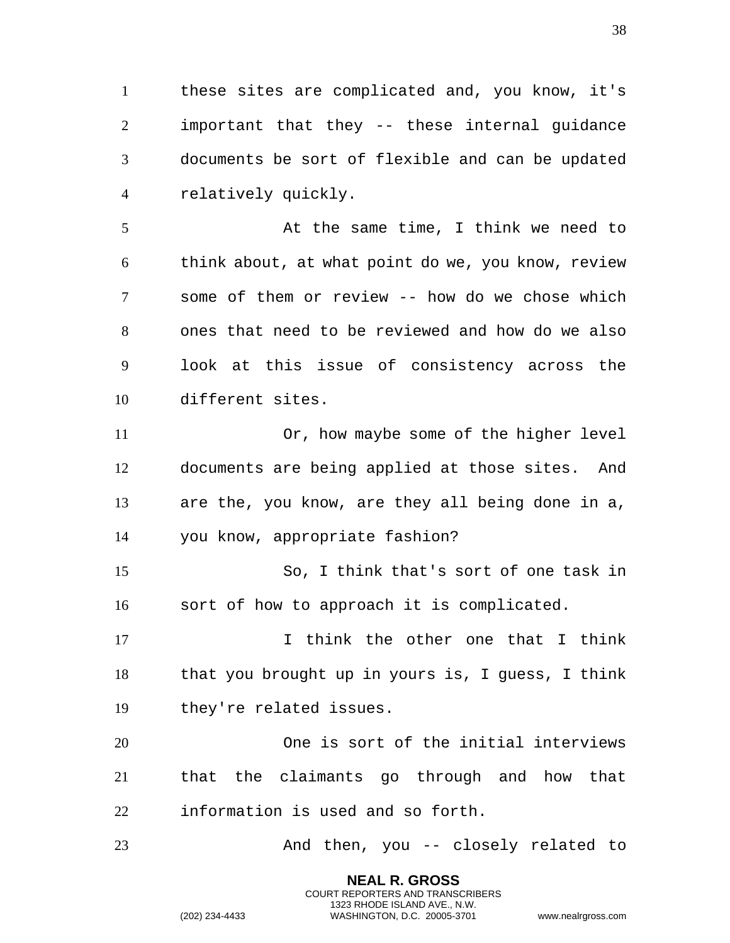these sites are complicated and, you know, it's important that they -- these internal guidance documents be sort of flexible and can be updated relatively quickly.

 At the same time, I think we need to think about, at what point do we, you know, review some of them or review -- how do we chose which ones that need to be reviewed and how do we also look at this issue of consistency across the different sites.

 Or, how maybe some of the higher level documents are being applied at those sites. And are the, you know, are they all being done in a, you know, appropriate fashion?

 So, I think that's sort of one task in sort of how to approach it is complicated.

17 17 I think the other one that I think that you brought up in yours is, I guess, I think they're related issues.

 One is sort of the initial interviews that the claimants go through and how that information is used and so forth.

And then, you -- closely related to

**NEAL R. GROSS** COURT REPORTERS AND TRANSCRIBERS 1323 RHODE ISLAND AVE., N.W.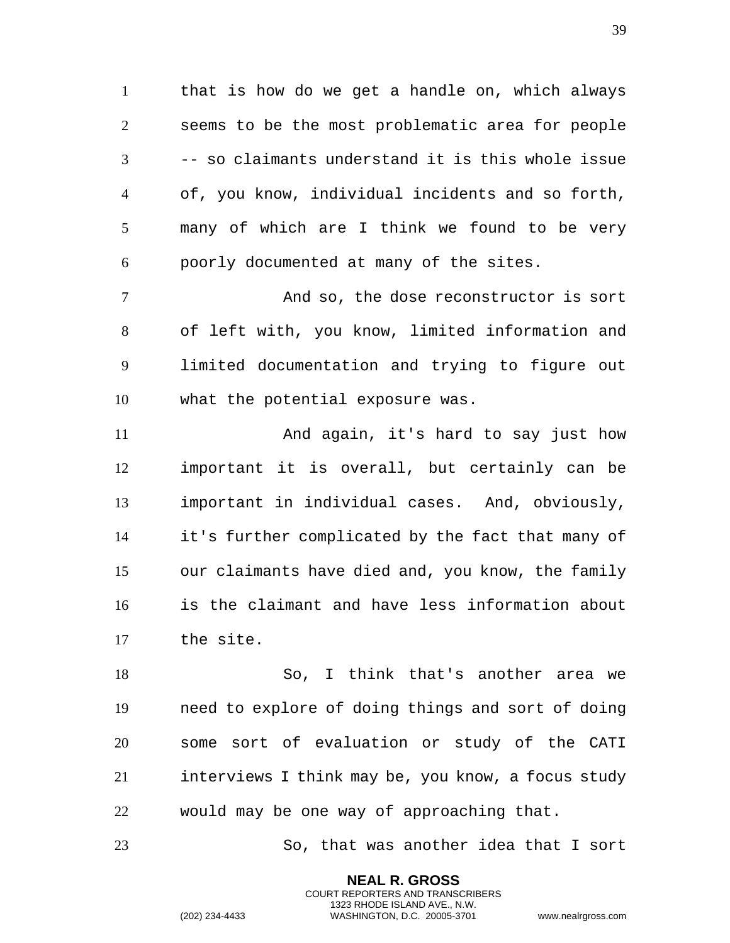that is how do we get a handle on, which always seems to be the most problematic area for people -- so claimants understand it is this whole issue of, you know, individual incidents and so forth, many of which are I think we found to be very poorly documented at many of the sites.

 And so, the dose reconstructor is sort of left with, you know, limited information and limited documentation and trying to figure out what the potential exposure was.

 And again, it's hard to say just how important it is overall, but certainly can be important in individual cases. And, obviously, it's further complicated by the fact that many of our claimants have died and, you know, the family is the claimant and have less information about the site.

 So, I think that's another area we need to explore of doing things and sort of doing some sort of evaluation or study of the CATI interviews I think may be, you know, a focus study would may be one way of approaching that.

So, that was another idea that I sort

**NEAL R. GROSS** COURT REPORTERS AND TRANSCRIBERS 1323 RHODE ISLAND AVE., N.W.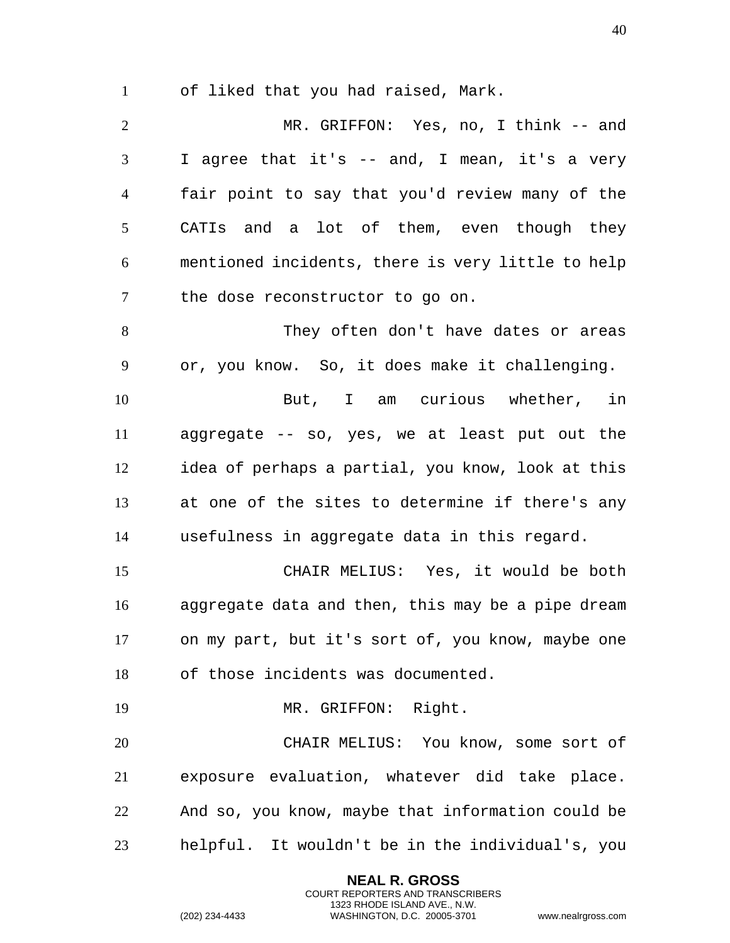of liked that you had raised, Mark.

 MR. GRIFFON: Yes, no, I think -- and I agree that it's -- and, I mean, it's a very fair point to say that you'd review many of the CATIs and a lot of them, even though they mentioned incidents, there is very little to help the dose reconstructor to go on.

 They often don't have dates or areas or, you know. So, it does make it challenging.

 But, I am curious whether, in aggregate -- so, yes, we at least put out the idea of perhaps a partial, you know, look at this at one of the sites to determine if there's any usefulness in aggregate data in this regard.

 CHAIR MELIUS: Yes, it would be both aggregate data and then, this may be a pipe dream on my part, but it's sort of, you know, maybe one of those incidents was documented.

MR. GRIFFON: Right.

 CHAIR MELIUS: You know, some sort of exposure evaluation, whatever did take place. And so, you know, maybe that information could be helpful. It wouldn't be in the individual's, you

> **NEAL R. GROSS** COURT REPORTERS AND TRANSCRIBERS 1323 RHODE ISLAND AVE., N.W.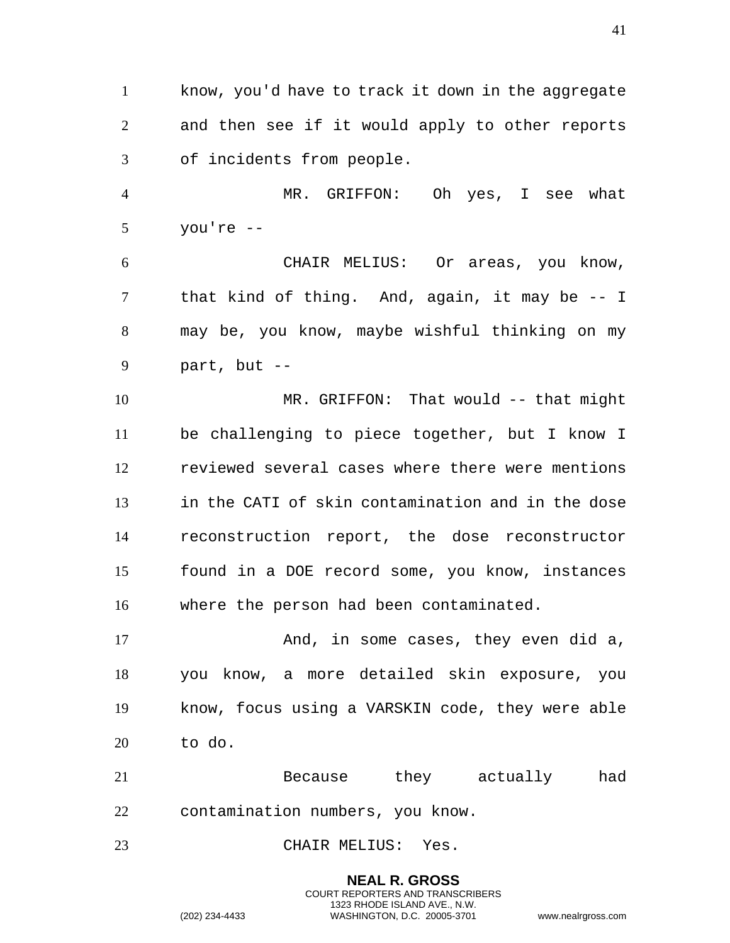know, you'd have to track it down in the aggregate and then see if it would apply to other reports of incidents from people.

 MR. GRIFFON: Oh yes, I see what you're --

 CHAIR MELIUS: Or areas, you know, that kind of thing. And, again, it may be -- I may be, you know, maybe wishful thinking on my part, but --

 MR. GRIFFON: That would -- that might be challenging to piece together, but I know I reviewed several cases where there were mentions in the CATI of skin contamination and in the dose reconstruction report, the dose reconstructor found in a DOE record some, you know, instances where the person had been contaminated.

17 And, in some cases, they even did a, you know, a more detailed skin exposure, you know, focus using a VARSKIN code, they were able to do.

 Because they actually had contamination numbers, you know.

CHAIR MELIUS: Yes.

**NEAL R. GROSS** COURT REPORTERS AND TRANSCRIBERS 1323 RHODE ISLAND AVE., N.W. (202) 234-4433 WASHINGTON, D.C. 20005-3701 www.nealrgross.com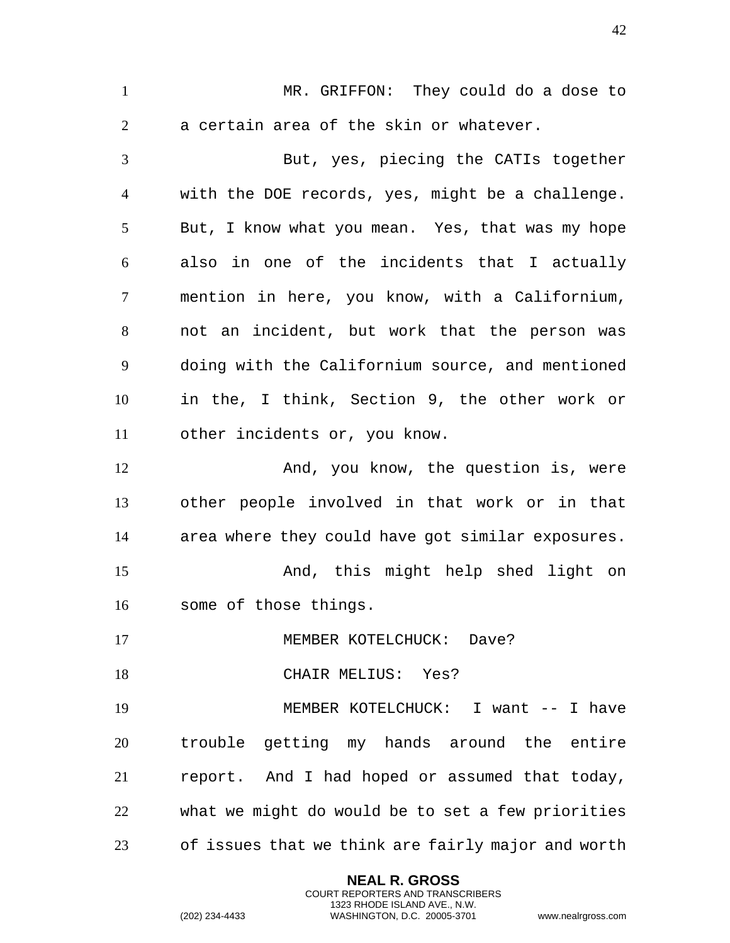**NEAL R. GROSS** MR. GRIFFON: They could do a dose to a certain area of the skin or whatever. But, yes, piecing the CATIs together with the DOE records, yes, might be a challenge. But, I know what you mean. Yes, that was my hope also in one of the incidents that I actually mention in here, you know, with a Californium, not an incident, but work that the person was doing with the Californium source, and mentioned in the, I think, Section 9, the other work or other incidents or, you know. 12 And, you know, the question is, were other people involved in that work or in that area where they could have got similar exposures. And, this might help shed light on some of those things. 17 MEMBER KOTELCHUCK: Dave? 18 CHAIR MELIUS: Yes? MEMBER KOTELCHUCK: I want -- I have trouble getting my hands around the entire report. And I had hoped or assumed that today, what we might do would be to set a few priorities of issues that we think are fairly major and worth

> COURT REPORTERS AND TRANSCRIBERS 1323 RHODE ISLAND AVE., N.W.

(202) 234-4433 WASHINGTON, D.C. 20005-3701 www.nealrgross.com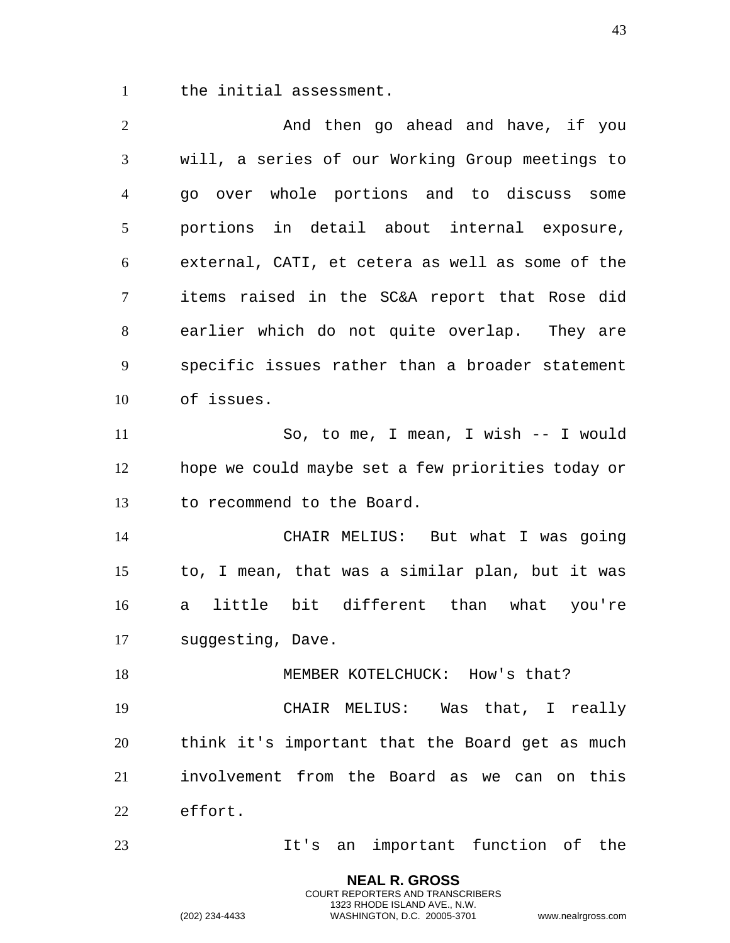the initial assessment.

2 And then go ahead and have, if you will, a series of our Working Group meetings to go over whole portions and to discuss some portions in detail about internal exposure, external, CATI, et cetera as well as some of the items raised in the SC&A report that Rose did earlier which do not quite overlap. They are specific issues rather than a broader statement of issues. So, to me, I mean, I wish -- I would hope we could maybe set a few priorities today or to recommend to the Board. CHAIR MELIUS: But what I was going to, I mean, that was a similar plan, but it was a little bit different than what you're suggesting, Dave. 18 MEMBER KOTELCHUCK: How's that? CHAIR MELIUS: Was that, I really think it's important that the Board get as much involvement from the Board as we can on this effort. It's an important function of the

> **NEAL R. GROSS** COURT REPORTERS AND TRANSCRIBERS 1323 RHODE ISLAND AVE., N.W.

(202) 234-4433 WASHINGTON, D.C. 20005-3701 www.nealrgross.com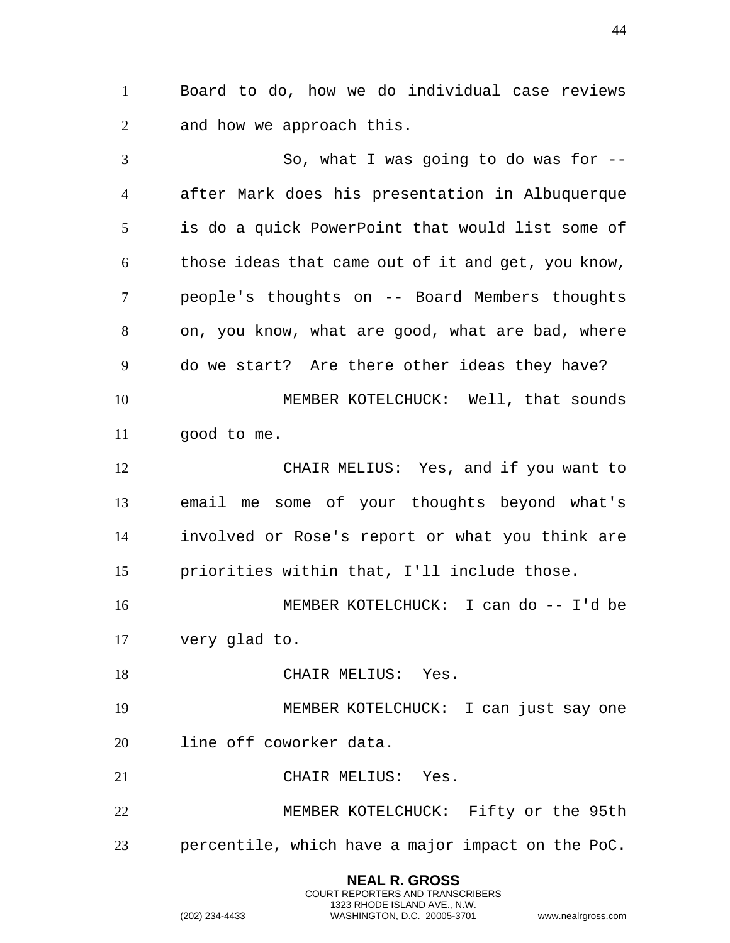Board to do, how we do individual case reviews and how we approach this.

 So, what I was going to do was for -- after Mark does his presentation in Albuquerque is do a quick PowerPoint that would list some of those ideas that came out of it and get, you know, people's thoughts on -- Board Members thoughts on, you know, what are good, what are bad, where do we start? Are there other ideas they have? MEMBER KOTELCHUCK: Well, that sounds good to me. CHAIR MELIUS: Yes, and if you want to email me some of your thoughts beyond what's involved or Rose's report or what you think are priorities within that, I'll include those. MEMBER KOTELCHUCK: I can do -- I'd be very glad to. 18 CHAIR MELIUS: Yes. MEMBER KOTELCHUCK: I can just say one line off coworker data. CHAIR MELIUS: Yes. MEMBER KOTELCHUCK: Fifty or the 95th percentile, which have a major impact on the PoC.

> **NEAL R. GROSS** COURT REPORTERS AND TRANSCRIBERS 1323 RHODE ISLAND AVE., N.W.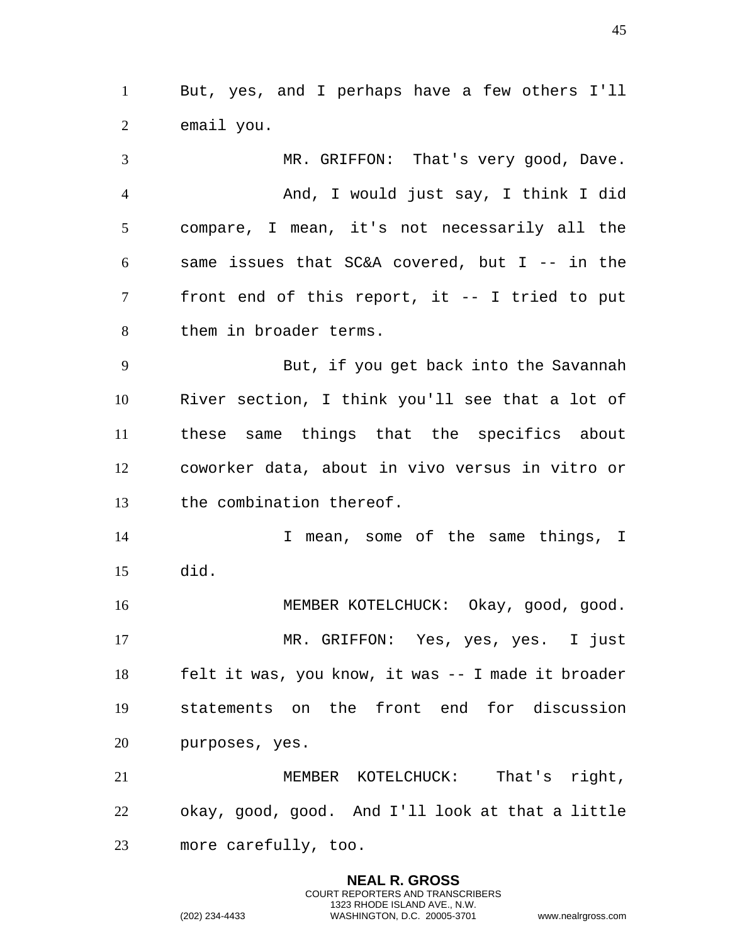But, yes, and I perhaps have a few others I'll email you.

 MR. GRIFFON: That's very good, Dave. And, I would just say, I think I did compare, I mean, it's not necessarily all the same issues that SC&A covered, but I -- in the front end of this report, it -- I tried to put them in broader terms. But, if you get back into the Savannah River section, I think you'll see that a lot of these same things that the specifics about coworker data, about in vivo versus in vitro or the combination thereof. 14 14 I mean, some of the same things, I did. MEMBER KOTELCHUCK: Okay, good, good. MR. GRIFFON: Yes, yes, yes. I just felt it was, you know, it was -- I made it broader statements on the front end for discussion purposes, yes. 21 MEMBER KOTELCHUCK: That's right, okay, good, good. And I'll look at that a little more carefully, too.

> **NEAL R. GROSS** COURT REPORTERS AND TRANSCRIBERS 1323 RHODE ISLAND AVE., N.W.

(202) 234-4433 WASHINGTON, D.C. 20005-3701 www.nealrgross.com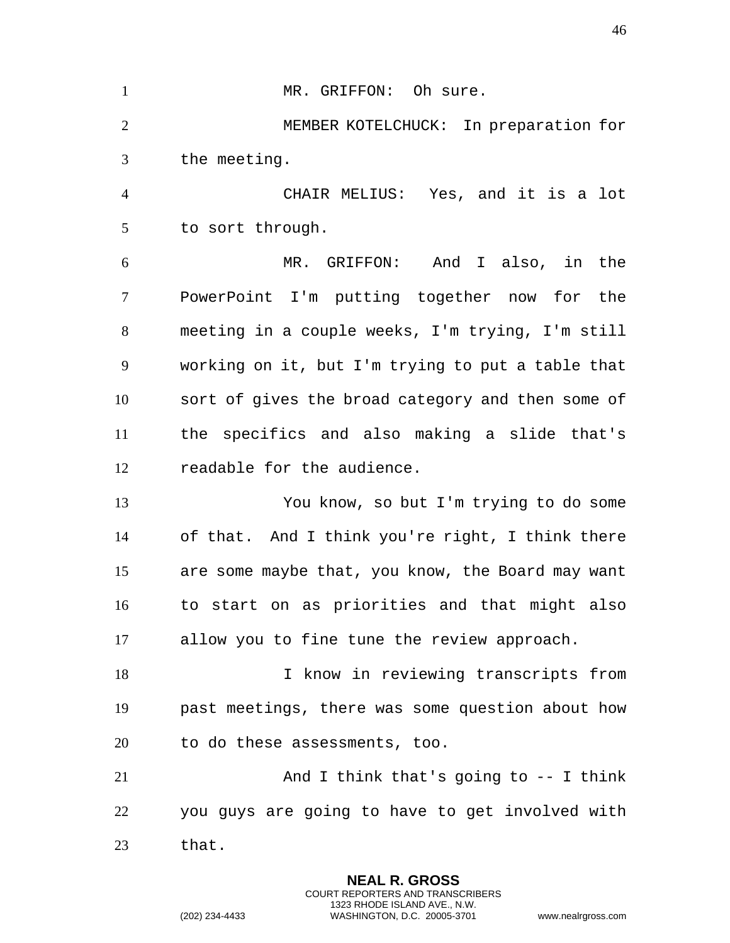| $\mathbf{1}$   | MR. GRIFFON: Oh sure.                             |
|----------------|---------------------------------------------------|
| $\overline{2}$ | MEMBER KOTELCHUCK: In preparation for             |
| 3              | the meeting.                                      |
| $\overline{4}$ | CHAIR MELIUS: Yes, and it is a lot                |
| 5              | to sort through.                                  |
| 6              | MR. GRIFFON:<br>And I also, in the                |
| 7              | PowerPoint I'm putting together now for the       |
| 8              | meeting in a couple weeks, I'm trying, I'm still  |
| 9              | working on it, but I'm trying to put a table that |
| 10             | sort of gives the broad category and then some of |
| 11             | the specifics and also making a slide that's      |
| 12             | readable for the audience.                        |
| 13             | You know, so but I'm trying to do some            |
| 14             | of that. And I think you're right, I think there  |
| 15             | are some maybe that, you know, the Board may want |
| 16             | to start on as priorities and that might also     |
| 17             | allow you to fine tune the review approach.       |
| 18             | I know in reviewing transcripts from              |
| 19             | past meetings, there was some question about how  |
| 20             | to do these assessments, too.                     |
| 21             | And I think that's going to $-$ I think           |
| 22             | you guys are going to have to get involved with   |
| 23             | that.                                             |

**NEAL R. GROSS** COURT REPORTERS AND TRANSCRIBERS 1323 RHODE ISLAND AVE., N.W.

(202) 234-4433 WASHINGTON, D.C. 20005-3701 www.nealrgross.com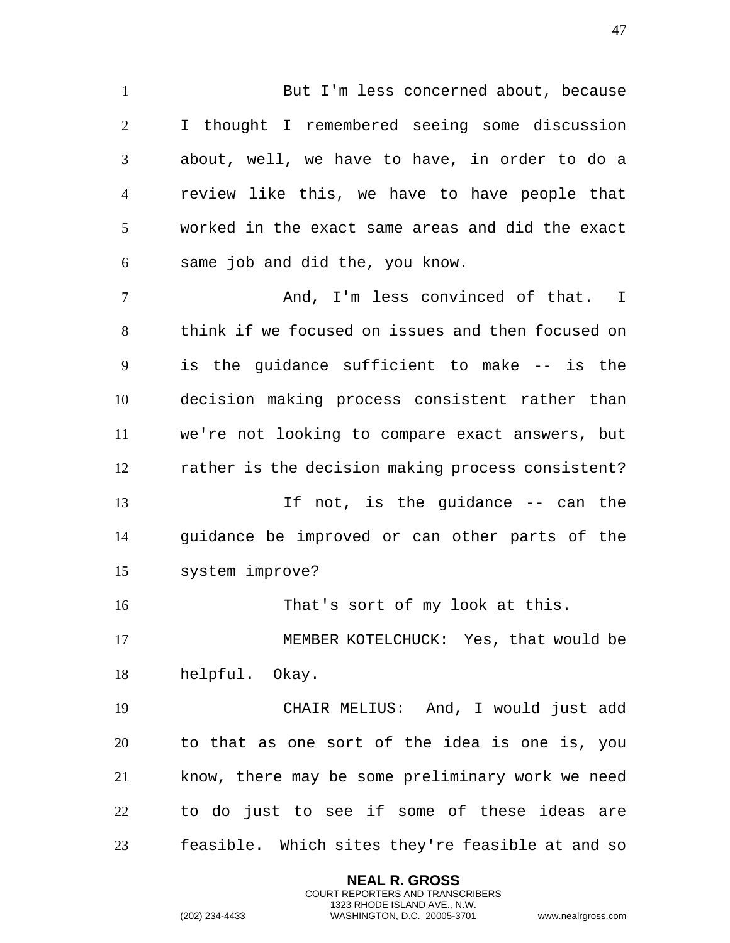1 But I'm less concerned about, because I thought I remembered seeing some discussion about, well, we have to have, in order to do a review like this, we have to have people that worked in the exact same areas and did the exact same job and did the, you know. 7 And, I'm less convinced of that. I think if we focused on issues and then focused on is the guidance sufficient to make -- is the decision making process consistent rather than we're not looking to compare exact answers, but rather is the decision making process consistent? 13 11 If not, is the guidance -- can the guidance be improved or can other parts of the system improve? That's sort of my look at this. MEMBER KOTELCHUCK: Yes, that would be helpful. Okay. CHAIR MELIUS: And, I would just add to that as one sort of the idea is one is, you know, there may be some preliminary work we need to do just to see if some of these ideas are

> **NEAL R. GROSS** COURT REPORTERS AND TRANSCRIBERS 1323 RHODE ISLAND AVE., N.W.

feasible. Which sites they're feasible at and so

(202) 234-4433 WASHINGTON, D.C. 20005-3701 www.nealrgross.com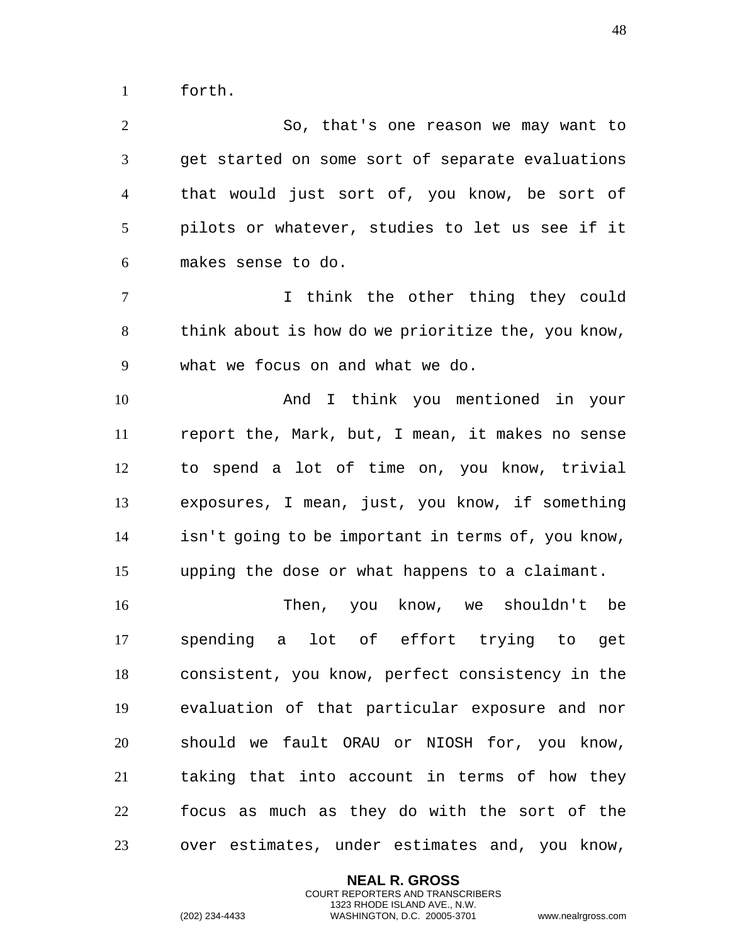forth.

 So, that's one reason we may want to get started on some sort of separate evaluations that would just sort of, you know, be sort of pilots or whatever, studies to let us see if it makes sense to do.

 I think the other thing they could think about is how do we prioritize the, you know, what we focus on and what we do.

 And I think you mentioned in your report the, Mark, but, I mean, it makes no sense to spend a lot of time on, you know, trivial exposures, I mean, just, you know, if something isn't going to be important in terms of, you know, upping the dose or what happens to a claimant.

 Then, you know, we shouldn't be spending a lot of effort trying to get consistent, you know, perfect consistency in the evaluation of that particular exposure and nor should we fault ORAU or NIOSH for, you know, taking that into account in terms of how they focus as much as they do with the sort of the over estimates, under estimates and, you know,

> **NEAL R. GROSS** COURT REPORTERS AND TRANSCRIBERS 1323 RHODE ISLAND AVE., N.W.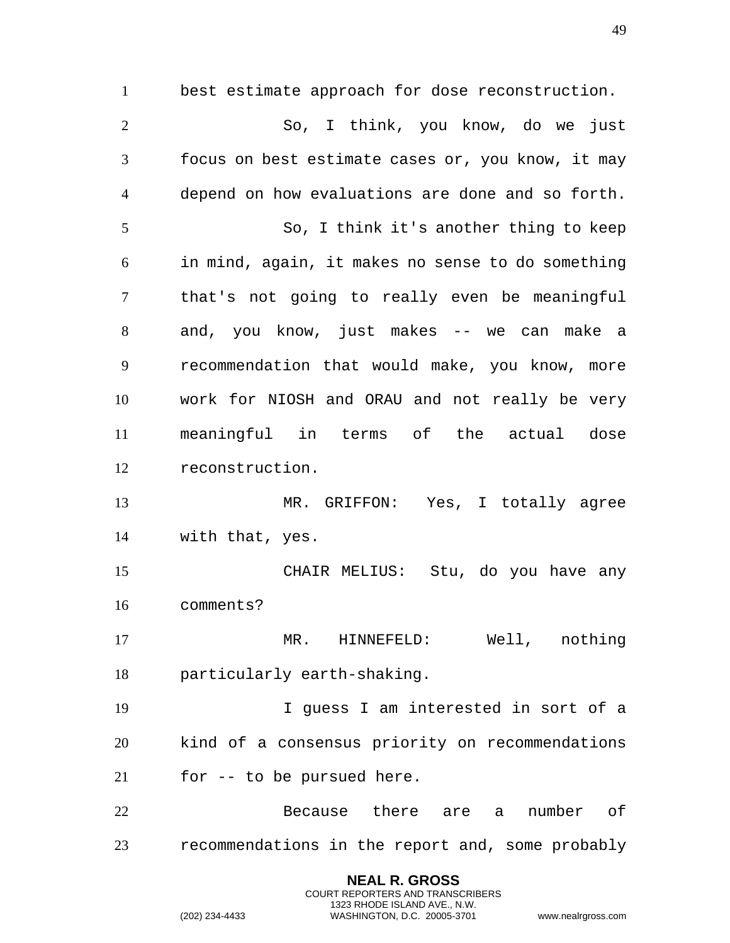best estimate approach for dose reconstruction. So, I think, you know, do we just focus on best estimate cases or, you know, it may depend on how evaluations are done and so forth. So, I think it's another thing to keep in mind, again, it makes no sense to do something that's not going to really even be meaningful and, you know, just makes -- we can make a recommendation that would make, you know, more work for NIOSH and ORAU and not really be very meaningful in terms of the actual dose reconstruction. MR. GRIFFON: Yes, I totally agree with that, yes. CHAIR MELIUS: Stu, do you have any comments? MR. HINNEFELD: Well, nothing particularly earth-shaking. I guess I am interested in sort of a kind of a consensus priority on recommendations for -- to be pursued here. 22 Because there are a number of recommendations in the report and, some probably

> **NEAL R. GROSS** COURT REPORTERS AND TRANSCRIBERS 1323 RHODE ISLAND AVE., N.W.

(202) 234-4433 WASHINGTON, D.C. 20005-3701 www.nealrgross.com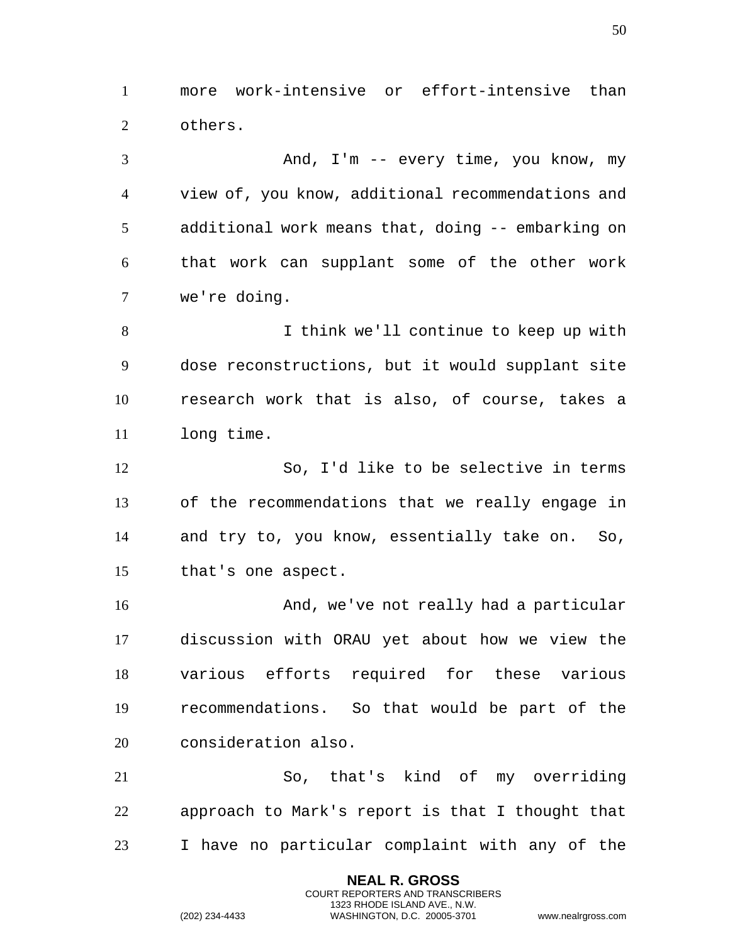more work-intensive or effort-intensive than others.

 And, I'm -- every time, you know, my view of, you know, additional recommendations and additional work means that, doing -- embarking on that work can supplant some of the other work we're doing. I think we'll continue to keep up with

 dose reconstructions, but it would supplant site research work that is also, of course, takes a long time.

 So, I'd like to be selective in terms of the recommendations that we really engage in and try to, you know, essentially take on. So, that's one aspect.

 And, we've not really had a particular discussion with ORAU yet about how we view the various efforts required for these various recommendations. So that would be part of the consideration also.

 So, that's kind of my overriding approach to Mark's report is that I thought that I have no particular complaint with any of the

> **NEAL R. GROSS** COURT REPORTERS AND TRANSCRIBERS 1323 RHODE ISLAND AVE., N.W.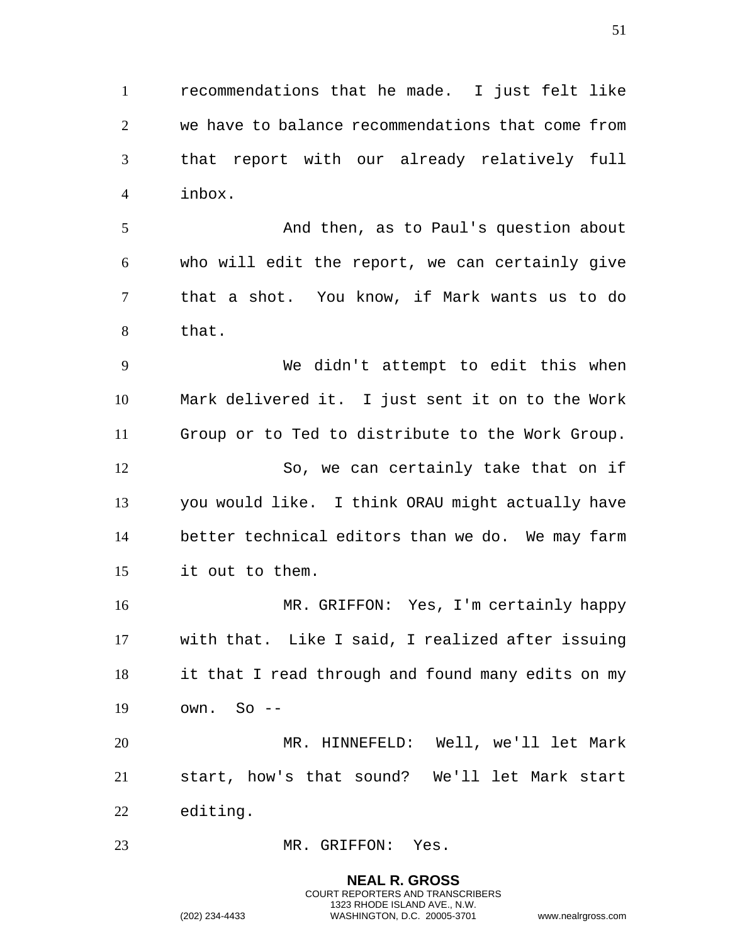recommendations that he made. I just felt like we have to balance recommendations that come from that report with our already relatively full inbox.

 And then, as to Paul's question about who will edit the report, we can certainly give that a shot. You know, if Mark wants us to do that.

 We didn't attempt to edit this when Mark delivered it. I just sent it on to the Work Group or to Ted to distribute to the Work Group. 12 So, we can certainly take that on if you would like. I think ORAU might actually have better technical editors than we do. We may farm it out to them.

 MR. GRIFFON: Yes, I'm certainly happy with that. Like I said, I realized after issuing it that I read through and found many edits on my own. So --

 MR. HINNEFELD: Well, we'll let Mark start, how's that sound? We'll let Mark start editing.

MR. GRIFFON: Yes.

**NEAL R. GROSS** COURT REPORTERS AND TRANSCRIBERS 1323 RHODE ISLAND AVE., N.W. (202) 234-4433 WASHINGTON, D.C. 20005-3701 www.nealrgross.com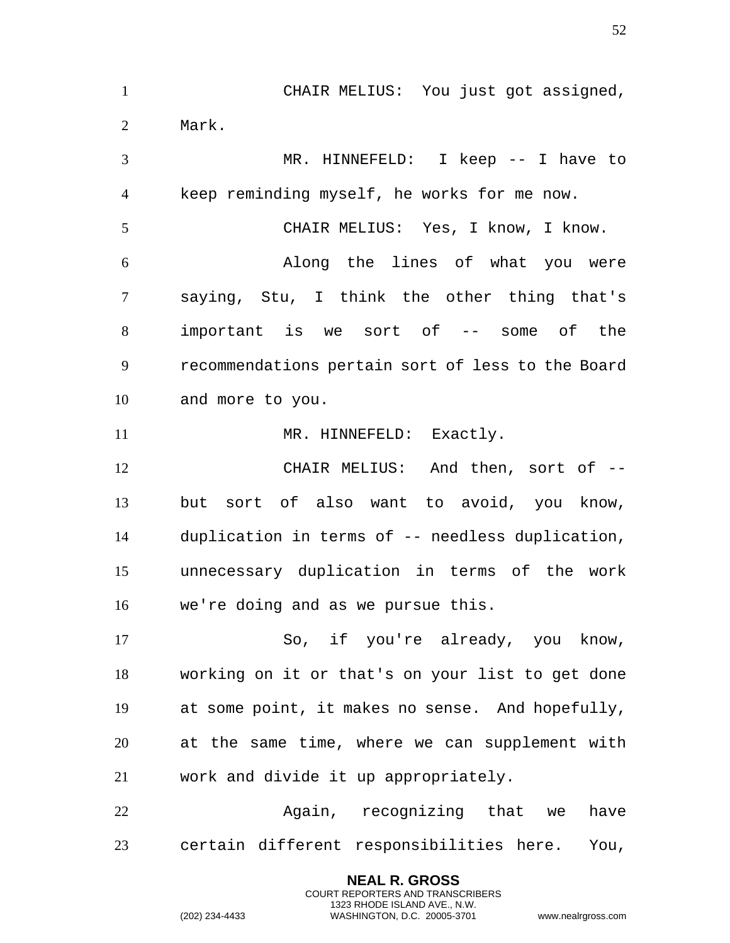CHAIR MELIUS: You just got assigned, Mark. MR. HINNEFELD: I keep -- I have to keep reminding myself, he works for me now. CHAIR MELIUS: Yes, I know, I know. Along the lines of what you were saying, Stu, I think the other thing that's important is we sort of -- some of the recommendations pertain sort of less to the Board and more to you. 11 MR. HINNEFELD: Exactly. CHAIR MELIUS: And then, sort of -- but sort of also want to avoid, you know, duplication in terms of -- needless duplication, unnecessary duplication in terms of the work we're doing and as we pursue this. So, if you're already, you know, working on it or that's on your list to get done at some point, it makes no sense. And hopefully, at the same time, where we can supplement with work and divide it up appropriately. 22 Again, recognizing that we have certain different responsibilities here. You,

> **NEAL R. GROSS** COURT REPORTERS AND TRANSCRIBERS 1323 RHODE ISLAND AVE., N.W.

(202) 234-4433 WASHINGTON, D.C. 20005-3701 www.nealrgross.com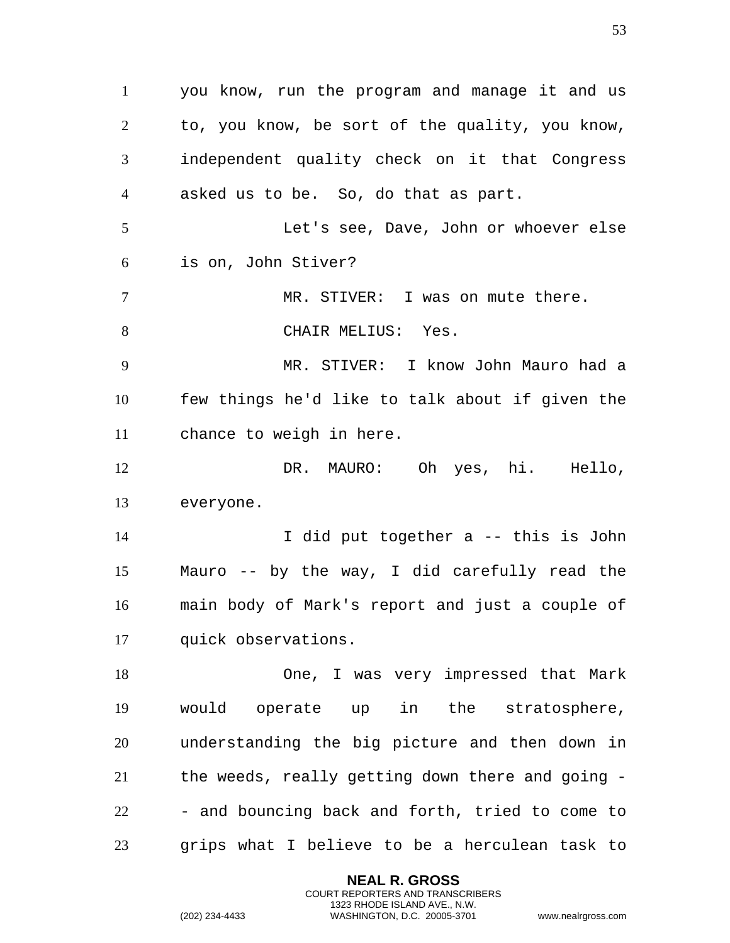you know, run the program and manage it and us to, you know, be sort of the quality, you know, independent quality check on it that Congress asked us to be. So, do that as part. Let's see, Dave, John or whoever else is on, John Stiver? MR. STIVER: I was on mute there. 8 CHAIR MELIUS: Yes. MR. STIVER: I know John Mauro had a few things he'd like to talk about if given the chance to weigh in here. DR. MAURO: Oh yes, hi. Hello, everyone. I did put together a -- this is John Mauro -- by the way, I did carefully read the main body of Mark's report and just a couple of quick observations. One, I was very impressed that Mark would operate up in the stratosphere, understanding the big picture and then down in the weeds, really getting down there and going - - and bouncing back and forth, tried to come to grips what I believe to be a herculean task to

> **NEAL R. GROSS** COURT REPORTERS AND TRANSCRIBERS 1323 RHODE ISLAND AVE., N.W.

```
(202) 234-4433 WASHINGTON, D.C. 20005-3701 www.nealrgross.com
```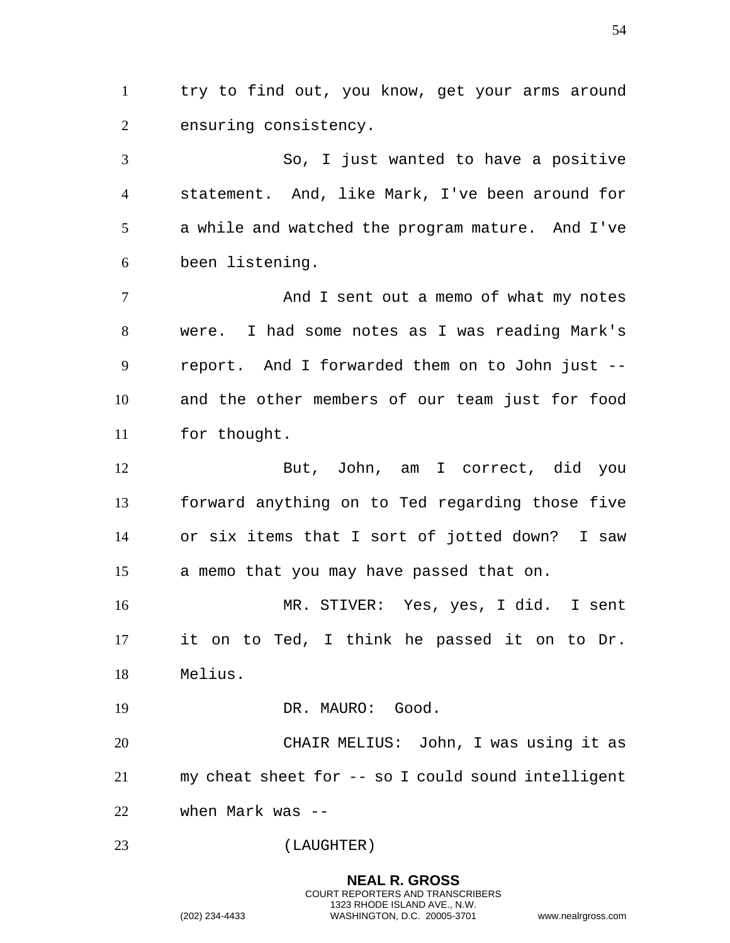try to find out, you know, get your arms around ensuring consistency.

So, I just wanted to have a positive statement. And, like Mark, I've been around for a while and watched the program mature. And I've been listening.

7 And I sent out a memo of what my notes were. I had some notes as I was reading Mark's report. And I forwarded them on to John just -- and the other members of our team just for food for thought.

But, John, am I correct, did you forward anything on to Ted regarding those five or six items that I sort of jotted down? I saw a memo that you may have passed that on.

MR. STIVER: Yes, yes, I did. I sent it on to Ted, I think he passed it on to Dr. Melius.

19 DR. MAURO: Good.

CHAIR MELIUS: John, I was using it as my cheat sheet for -- so I could sound intelligent when Mark was --

(LAUGHTER)

**NEAL R. GROSS** COURT REPORTERS AND TRANSCRIBERS 1323 RHODE ISLAND AVE., N.W. (202) 234-4433 WASHINGTON, D.C. 20005-3701 www.nealrgross.com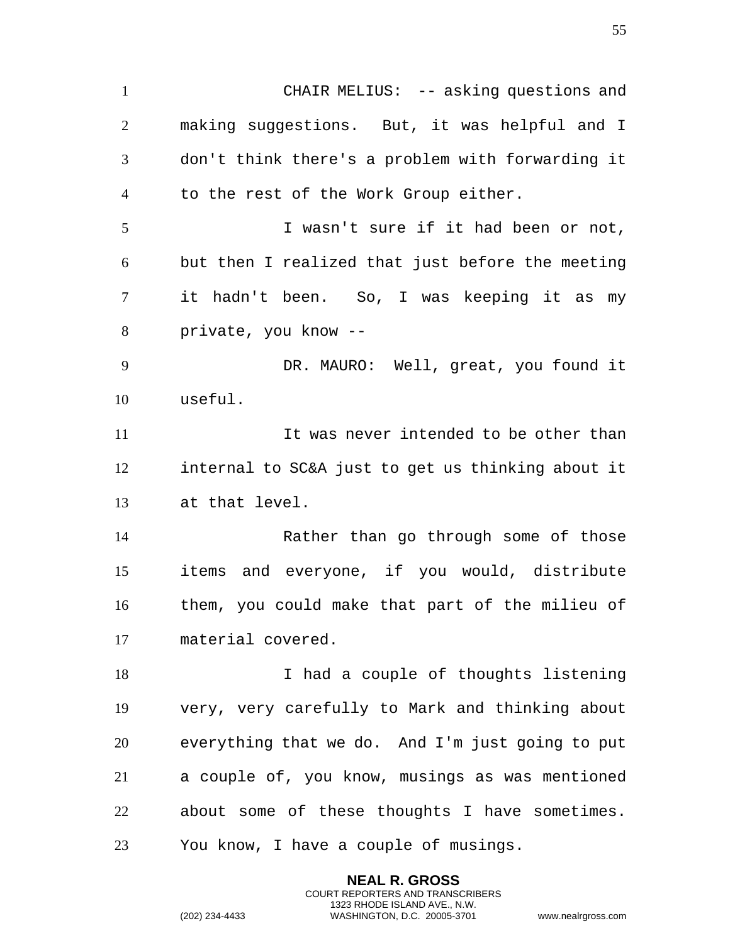1 CHAIR MELIUS: -- asking questions and making suggestions. But, it was helpful and I don't think there's a problem with forwarding it to the rest of the Work Group either. I wasn't sure if it had been or not, but then I realized that just before the meeting it hadn't been. So, I was keeping it as my private, you know -- DR. MAURO: Well, great, you found it useful. It was never intended to be other than internal to SC&A just to get us thinking about it at that level. Rather than go through some of those items and everyone, if you would, distribute them, you could make that part of the milieu of material covered. 18 I had a couple of thoughts listening very, very carefully to Mark and thinking about everything that we do. And I'm just going to put a couple of, you know, musings as was mentioned about some of these thoughts I have sometimes. You know, I have a couple of musings.

> **NEAL R. GROSS** COURT REPORTERS AND TRANSCRIBERS 1323 RHODE ISLAND AVE., N.W.

(202) 234-4433 WASHINGTON, D.C. 20005-3701 www.nealrgross.com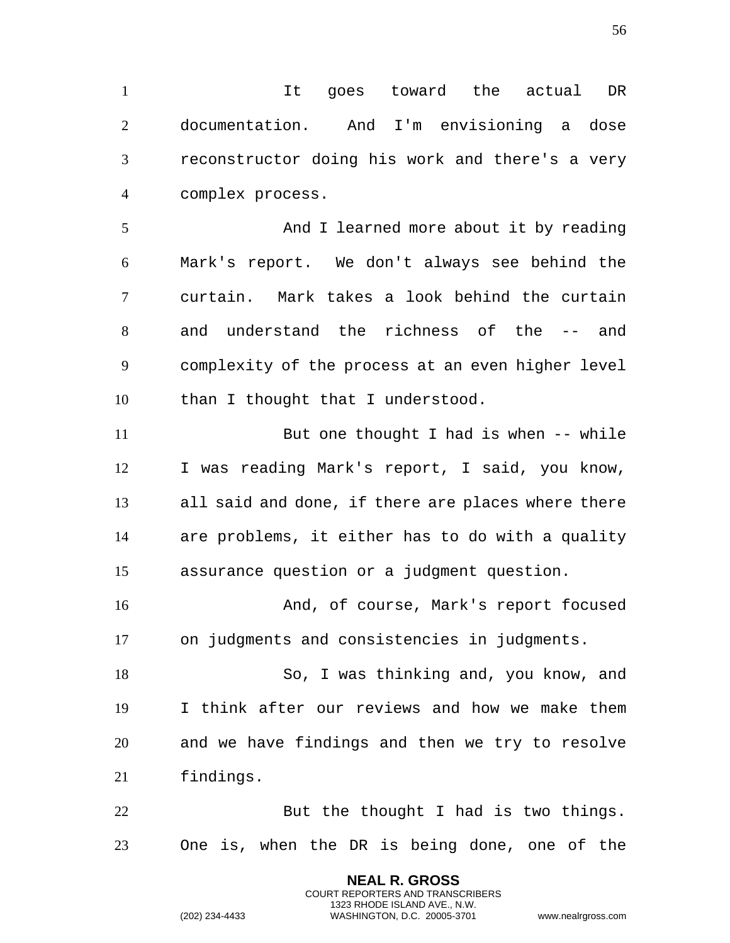It goes toward the actual DR documentation. And I'm envisioning a dose reconstructor doing his work and there's a very complex process.

5 And I learned more about it by reading Mark's report. We don't always see behind the curtain. Mark takes a look behind the curtain and understand the richness of the -- and complexity of the process at an even higher level 10 than I thought that I understood.

But one thought I had is when -- while I was reading Mark's report, I said, you know, all said and done, if there are places where there are problems, it either has to do with a quality assurance question or a judgment question.

And, of course, Mark's report focused on judgments and consistencies in judgments.

So, I was thinking and, you know, and I think after our reviews and how we make them and we have findings and then we try to resolve findings.

22 But the thought I had is two things. One is, when the DR is being done, one of the

> **NEAL R. GROSS** COURT REPORTERS AND TRANSCRIBERS 1323 RHODE ISLAND AVE., N.W.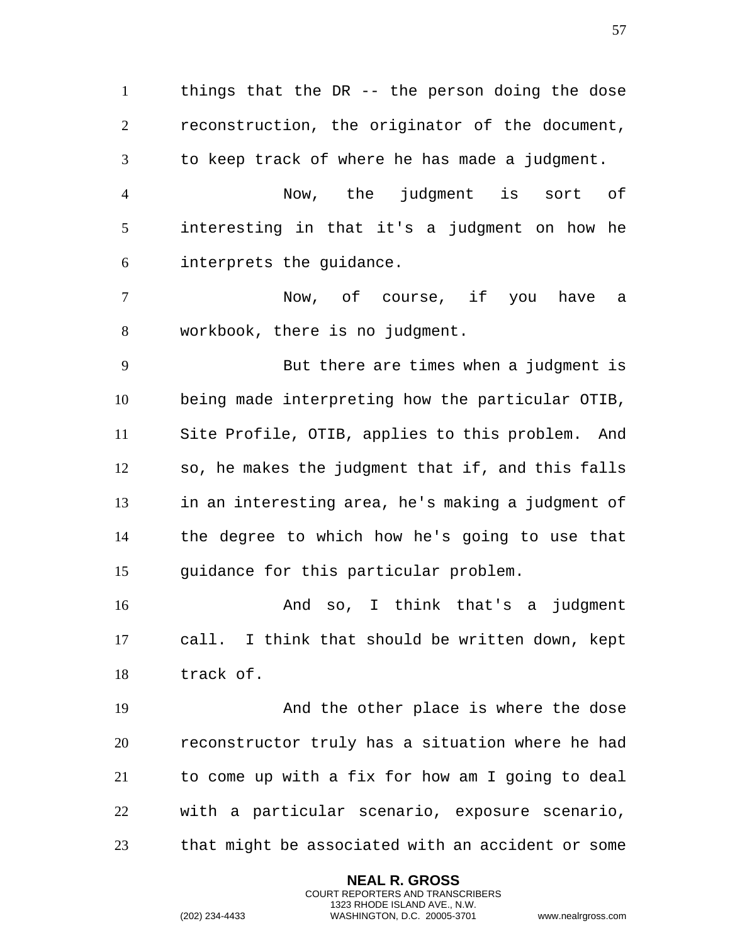things that the DR -- the person doing the dose reconstruction, the originator of the document, to keep track of where he has made a judgment.

Now, the judgment is sort of interesting in that it's a judgment on how he interprets the guidance.

Now, of course, if you have a workbook, there is no judgment.

But there are times when a judgment is being made interpreting how the particular OTIB, Site Profile, OTIB, applies to this problem. And so, he makes the judgment that if, and this falls in an interesting area, he's making a judgment of the degree to which how he's going to use that guidance for this particular problem.

And so, I think that's a judgment call. I think that should be written down, kept track of.

And the other place is where the dose reconstructor truly has a situation where he had to come up with a fix for how am I going to deal with a particular scenario, exposure scenario, that might be associated with an accident or some

> **NEAL R. GROSS** COURT REPORTERS AND TRANSCRIBERS 1323 RHODE ISLAND AVE., N.W.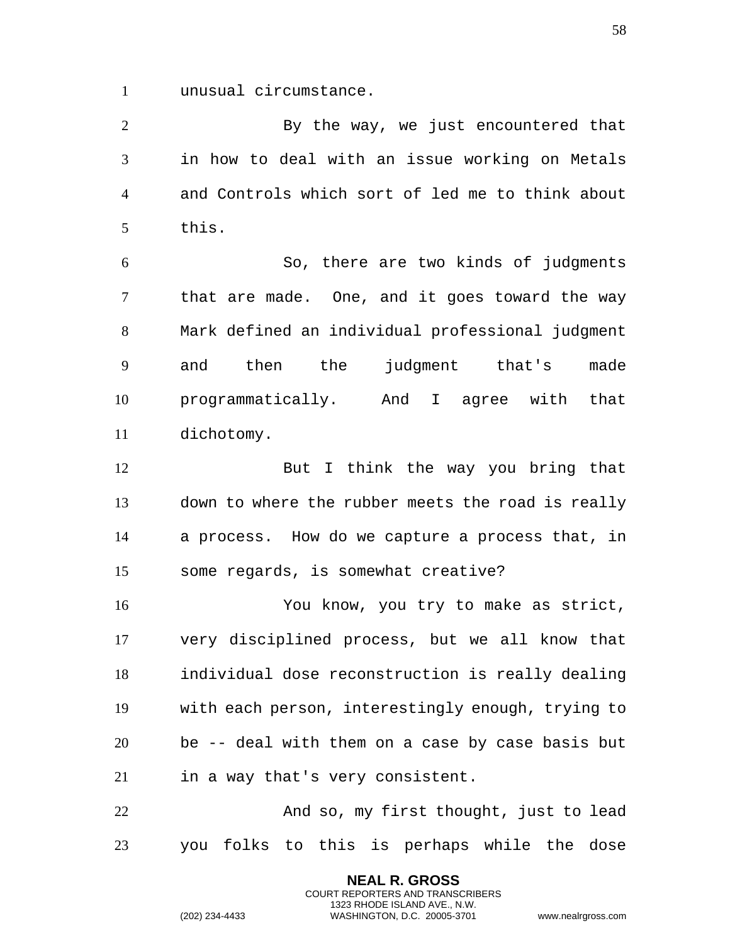unusual circumstance.

By the way, we just encountered that in how to deal with an issue working on Metals and Controls which sort of led me to think about this.

So, there are two kinds of judgments that are made. One, and it goes toward the way Mark defined an individual professional judgment and then the judgment that's made programmatically. And I agree with that dichotomy.

12 But I think the way you bring that down to where the rubber meets the road is really a process. How do we capture a process that, in some regards, is somewhat creative?

You know, you try to make as strict, very disciplined process, but we all know that individual dose reconstruction is really dealing with each person, interestingly enough, trying to be -- deal with them on a case by case basis but in a way that's very consistent.

And so, my first thought, just to lead you folks to this is perhaps while the dose

> **NEAL R. GROSS** COURT REPORTERS AND TRANSCRIBERS 1323 RHODE ISLAND AVE., N.W.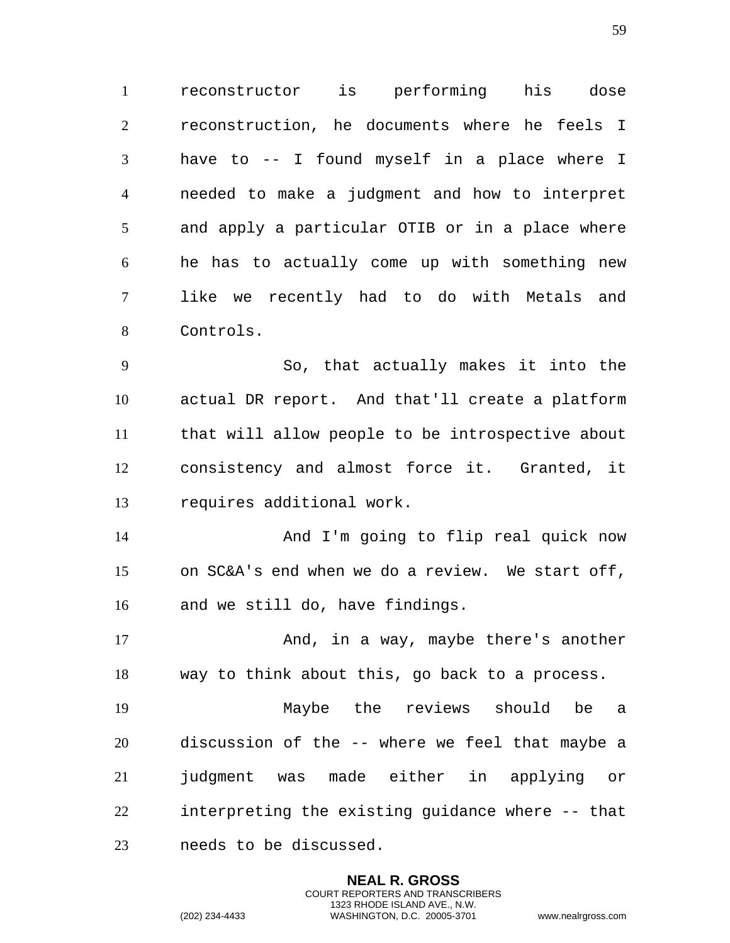reconstructor is performing his dose reconstruction, he documents where he feels I have to -- I found myself in a place where I needed to make a judgment and how to interpret and apply a particular OTIB or in a place where he has to actually come up with something new like we recently had to do with Metals and Controls.

So, that actually makes it into the actual DR report. And that'll create a platform that will allow people to be introspective about consistency and almost force it. Granted, it requires additional work.

And I'm going to flip real quick now on SC&A's end when we do a review. We start off, and we still do, have findings.

17 And, in a way, maybe there's another way to think about this, go back to a process.

Maybe the reviews should be a discussion of the -- where we feel that maybe a judgment was made either in applying or interpreting the existing guidance where -- that needs to be discussed.

> **NEAL R. GROSS** COURT REPORTERS AND TRANSCRIBERS 1323 RHODE ISLAND AVE., N.W.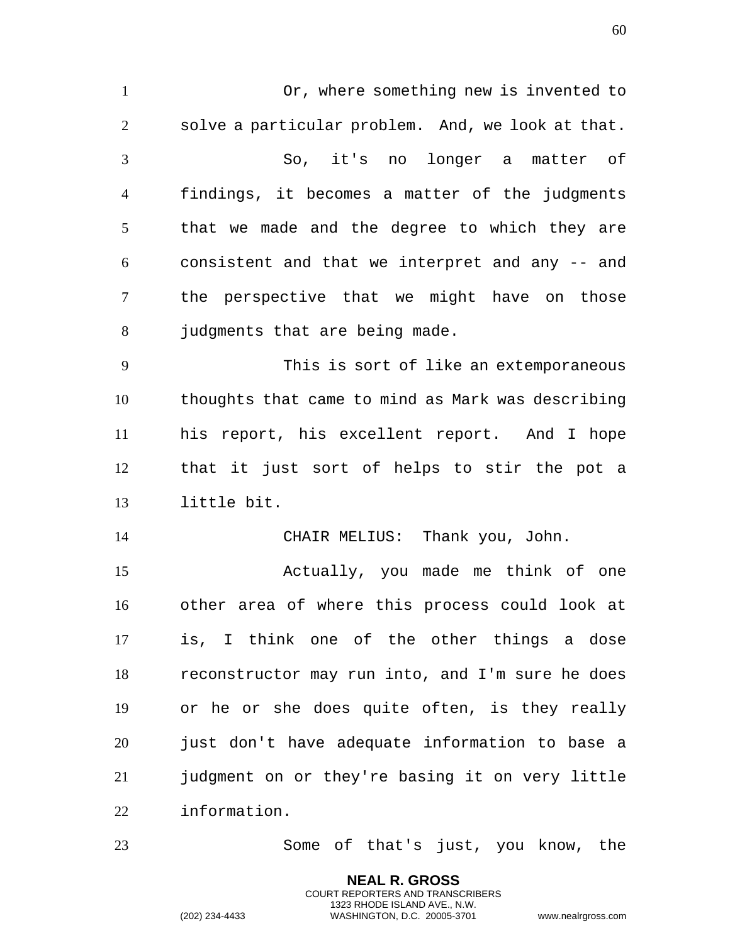Or, where something new is invented to solve a particular problem. And, we look at that. So, it's no longer a matter of findings, it becomes a matter of the judgments that we made and the degree to which they are consistent and that we interpret and any -- and the perspective that we might have on those 8 judgments that are being made. This is sort of like an extemporaneous thoughts that came to mind as Mark was describing his report, his excellent report. And I hope that it just sort of helps to stir the pot a little bit. CHAIR MELIUS: Thank you, John. Actually, you made me think of one other area of where this process could look at is, I think one of the other things a dose reconstructor may run into, and I'm sure he does or he or she does quite often, is they really just don't have adequate information to base a judgment on or they're basing it on very little information.

Some of that's just, you know, the

**NEAL R. GROSS** COURT REPORTERS AND TRANSCRIBERS 1323 RHODE ISLAND AVE., N.W.

(202) 234-4433 WASHINGTON, D.C. 20005-3701 www.nealrgross.com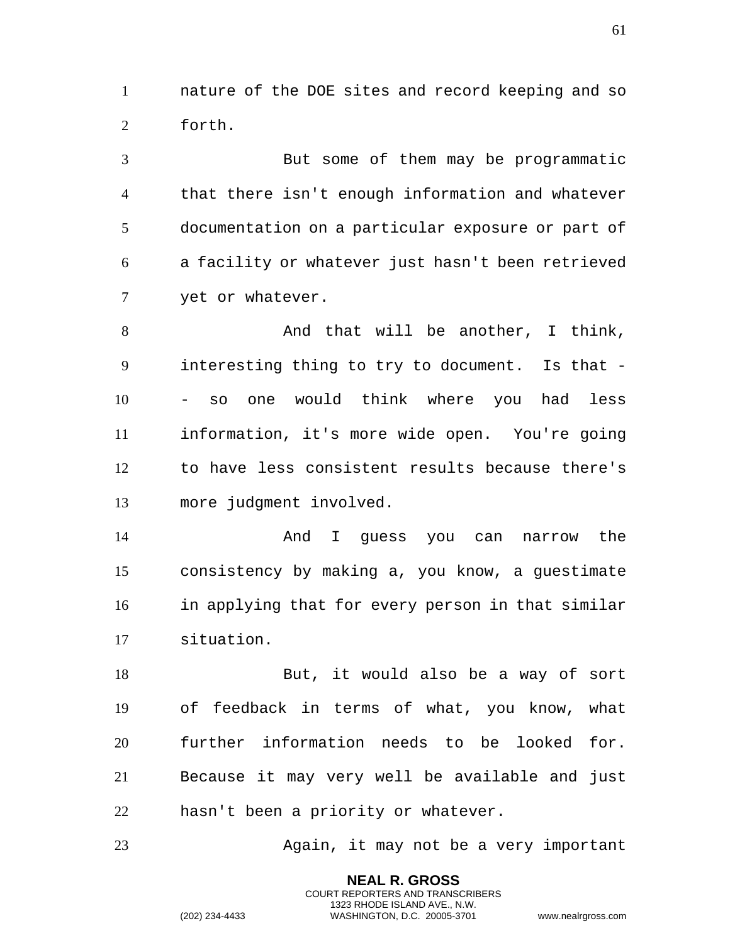nature of the DOE sites and record keeping and so forth.

But some of them may be programmatic that there isn't enough information and whatever documentation on a particular exposure or part of a facility or whatever just hasn't been retrieved yet or whatever.

8 And that will be another, I think, interesting thing to try to document. Is that - - so one would think where you had less information, it's more wide open. You're going to have less consistent results because there's more judgment involved.

And I guess you can narrow the consistency by making a, you know, a guestimate in applying that for every person in that similar situation.

18 But, it would also be a way of sort of feedback in terms of what, you know, what further information needs to be looked for. Because it may very well be available and just hasn't been a priority or whatever.

Again, it may not be a very important

**NEAL R. GROSS** COURT REPORTERS AND TRANSCRIBERS 1323 RHODE ISLAND AVE., N.W.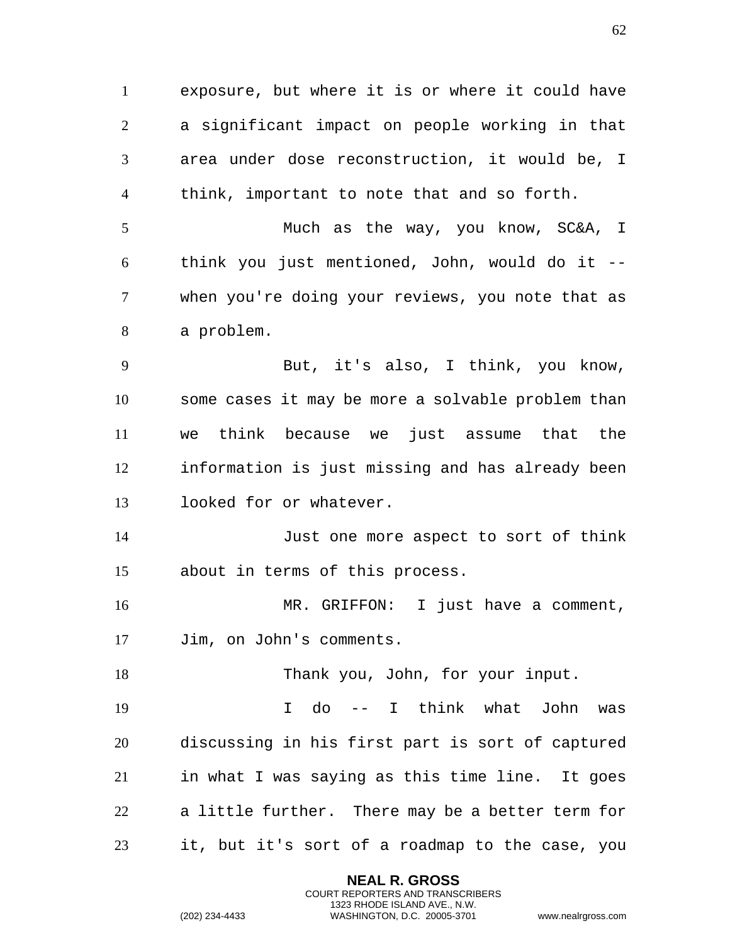exposure, but where it is or where it could have a significant impact on people working in that area under dose reconstruction, it would be, I think, important to note that and so forth. Much as the way, you know, SC&A, I think you just mentioned, John, would do it -- when you're doing your reviews, you note that as a problem. But, it's also, I think, you know, some cases it may be more a solvable problem than we think because we just assume that the information is just missing and has already been looked for or whatever. Just one more aspect to sort of think about in terms of this process. MR. GRIFFON: I just have a comment, Jim, on John's comments. 18 Thank you, John, for your input. I do -- I think what John was discussing in his first part is sort of captured in what I was saying as this time line. It goes a little further. There may be a better term for it, but it's sort of a roadmap to the case, you

> **NEAL R. GROSS** COURT REPORTERS AND TRANSCRIBERS 1323 RHODE ISLAND AVE., N.W.

(202) 234-4433 WASHINGTON, D.C. 20005-3701 www.nealrgross.com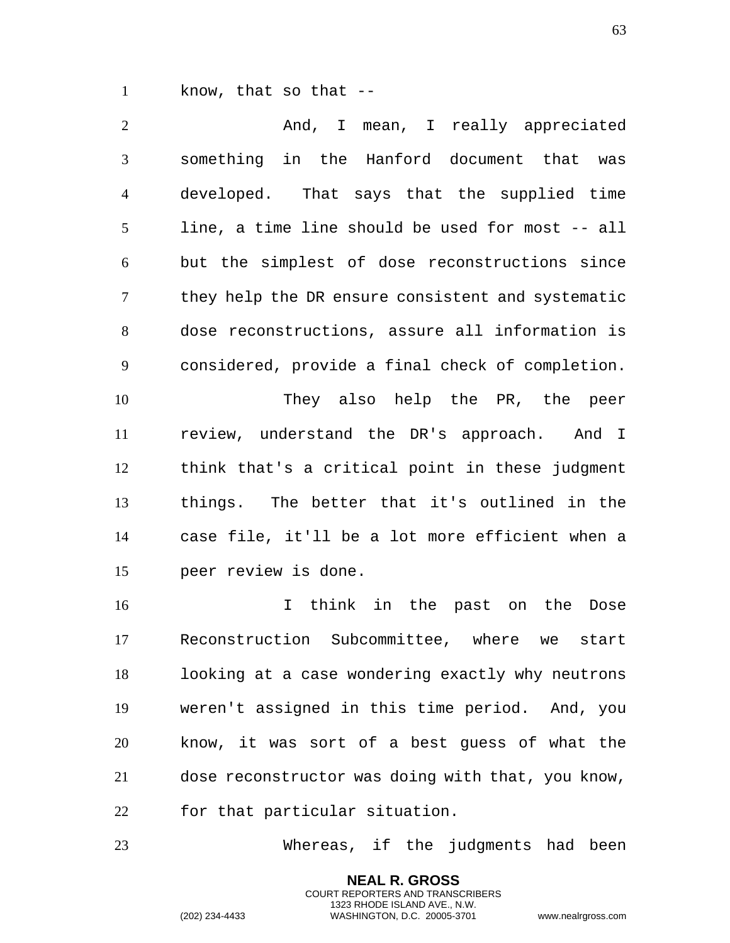know, that so that --

2 And, I mean, I really appreciated something in the Hanford document that was developed. That says that the supplied time line, a time line should be used for most -- all but the simplest of dose reconstructions since they help the DR ensure consistent and systematic dose reconstructions, assure all information is considered, provide a final check of completion. They also help the PR, the peer review, understand the DR's approach. And I think that's a critical point in these judgment things. The better that it's outlined in the case file, it'll be a lot more efficient when a peer review is done. I think in the past on the Dose Reconstruction Subcommittee, where we start

looking at a case wondering exactly why neutrons weren't assigned in this time period. And, you know, it was sort of a best guess of what the dose reconstructor was doing with that, you know, for that particular situation.

Whereas, if the judgments had been

**NEAL R. GROSS** COURT REPORTERS AND TRANSCRIBERS 1323 RHODE ISLAND AVE., N.W.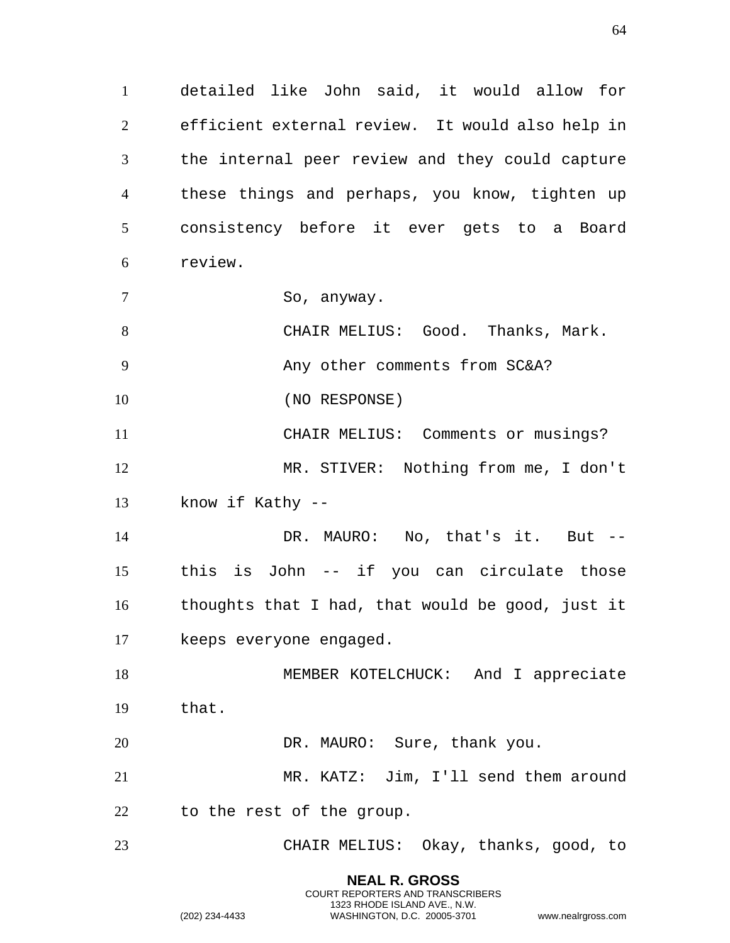detailed like John said, it would allow for efficient external review. It would also help in the internal peer review and they could capture these things and perhaps, you know, tighten up consistency before it ever gets to a Board review.

7 So, anyway.

CHAIR MELIUS: Good. Thanks, Mark.

9 Any other comments from SC&A?

10 (NO RESPONSE)

CHAIR MELIUS: Comments or musings? MR. STIVER: Nothing from me, I don't know if Kathy --

14 DR. MAURO: No, that's it. But --this is John -- if you can circulate those thoughts that I had, that would be good, just it keeps everyone engaged.

18 MEMBER KOTELCHUCK: And I appreciate that.

20 DR. MAURO: Sure, thank you.

MR. KATZ: Jim, I'll send them around to the rest of the group.

CHAIR MELIUS: Okay, thanks, good, to

**NEAL R. GROSS** COURT REPORTERS AND TRANSCRIBERS 1323 RHODE ISLAND AVE., N.W.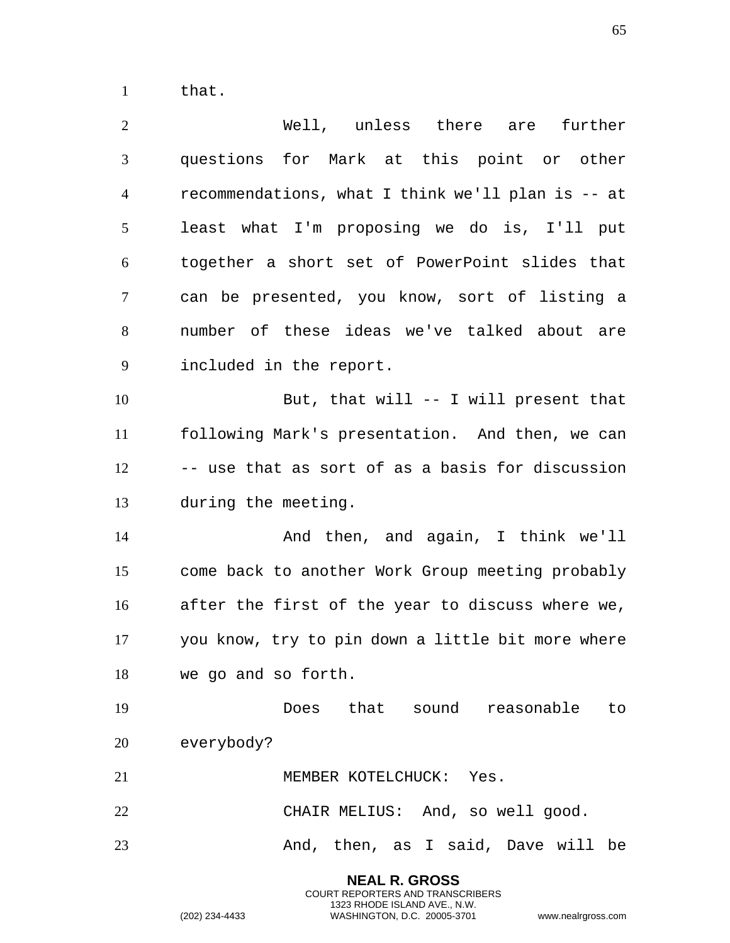that.

| $\overline{2}$ | Well, unless there are further                    |
|----------------|---------------------------------------------------|
| 3              | questions for Mark at this point or other         |
| $\overline{4}$ | recommendations, what I think we'll plan is -- at |
| 5              | least what I'm proposing we do is, I'll put       |
| 6              | together a short set of PowerPoint slides that    |
| $\tau$         | can be presented, you know, sort of listing a     |
| 8              | number of these ideas we've talked about are      |
| 9              | included in the report.                           |
| 10             | But, that will -- I will present that             |
| 11             | following Mark's presentation. And then, we can   |
| 12             | -- use that as sort of as a basis for discussion  |
| 13             | during the meeting.                               |
| 14             | And then, and again, I think we'll                |
| 15             | come back to another Work Group meeting probably  |
| 16             | after the first of the year to discuss where we,  |
| 17             | you know, try to pin down a little bit more where |
| 18             | we go and so forth.                               |
| 19             | Does that sound reasonable to                     |
| 20             | everybody?                                        |
| 21             | MEMBER KOTELCHUCK: Yes.                           |
| 22             | CHAIR MELIUS: And, so well good.                  |
| 23             | And, then, as I said, Dave will be                |
|                | <b>NEAL R. GROSS</b>                              |

COURT REPORTERS AND TRANSCRIBERS 1323 RHODE ISLAND AVE., N.W.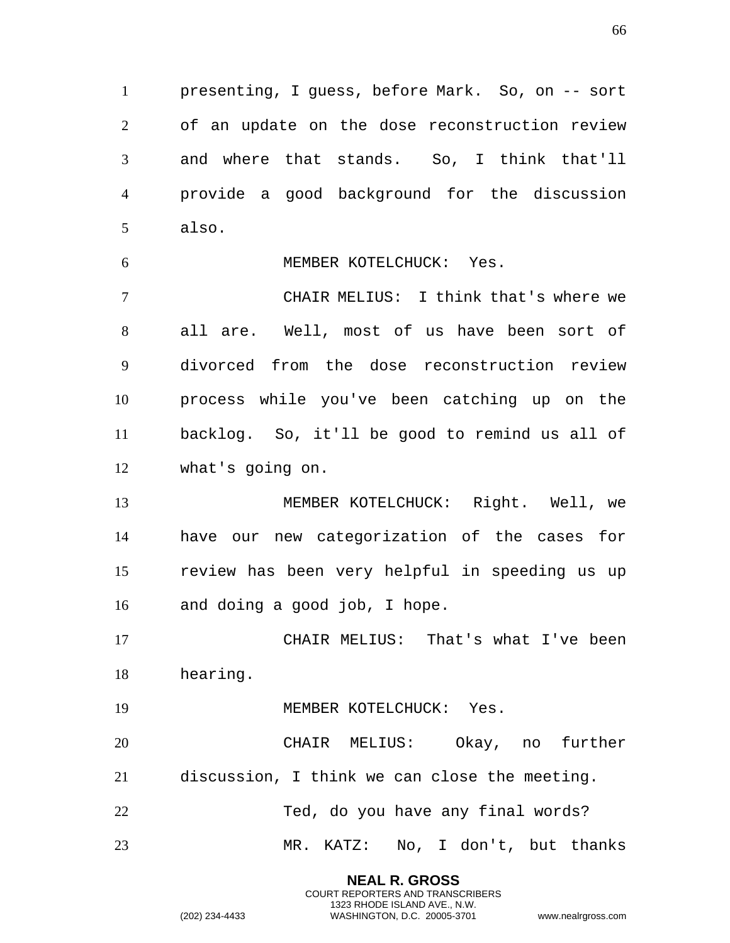presenting, I guess, before Mark. So, on -- sort of an update on the dose reconstruction review and where that stands. So, I think that'll provide a good background for the discussion also.

MEMBER KOTELCHUCK: Yes.

CHAIR MELIUS: I think that's where we all are. Well, most of us have been sort of divorced from the dose reconstruction review process while you've been catching up on the backlog. So, it'll be good to remind us all of what's going on.

MEMBER KOTELCHUCK: Right. Well, we have our new categorization of the cases for review has been very helpful in speeding us up and doing a good job, I hope.

CHAIR MELIUS: That's what I've been hearing.

19 MEMBER KOTELCHUCK: Yes.

CHAIR MELIUS: Okay, no further discussion, I think we can close the meeting. Ted, do you have any final words?

MR. KATZ: No, I don't, but thanks

**NEAL R. GROSS** COURT REPORTERS AND TRANSCRIBERS 1323 RHODE ISLAND AVE., N.W.